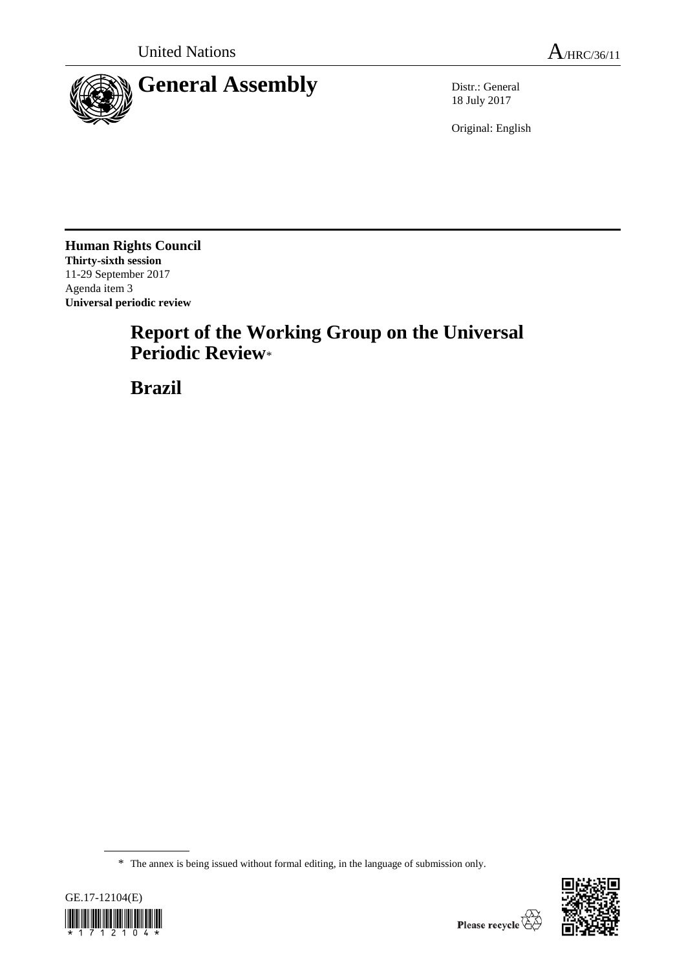

18 July 2017

Original: English

**Human Rights Council Thirty-sixth session** 11-29 September 2017 Agenda item 3 **Universal periodic review**

# **Report of the Working Group on the Universal Periodic Review**\*

**Brazil**

<sup>\*</sup> The annex is being issued without formal editing, in the language of submission only.



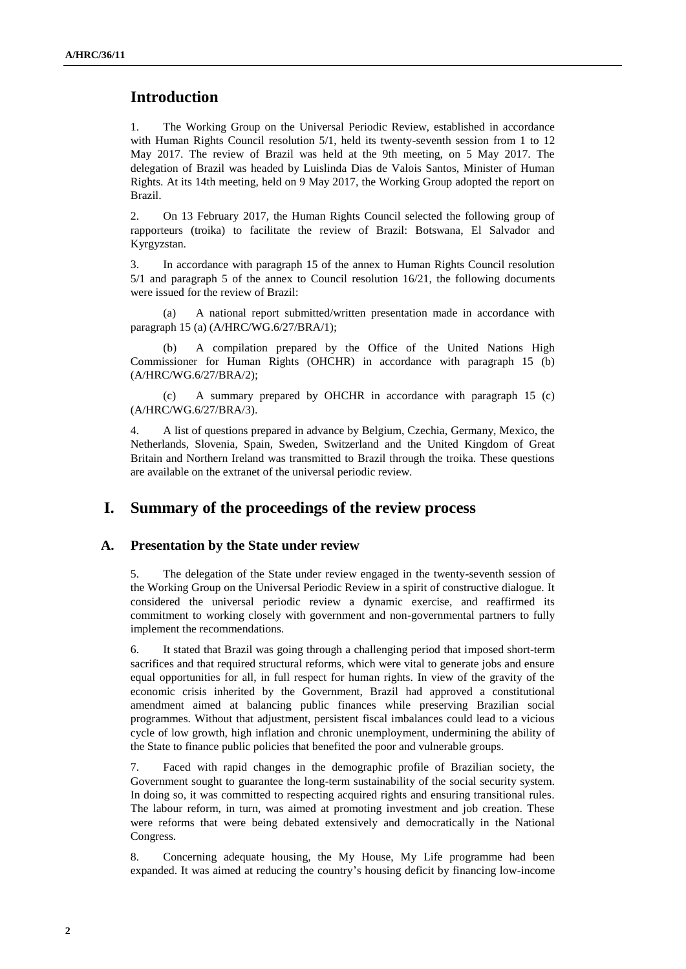# **Introduction**

1. The Working Group on the Universal Periodic Review, established in accordance with Human Rights Council resolution 5/1, held its twenty-seventh session from 1 to 12 May 2017. The review of Brazil was held at the 9th meeting, on 5 May 2017. The delegation of Brazil was headed by Luislinda Dias de Valois Santos, Minister of Human Rights. At its 14th meeting, held on 9 May 2017, the Working Group adopted the report on Brazil.

2. On 13 February 2017, the Human Rights Council selected the following group of rapporteurs (troika) to facilitate the review of Brazil: Botswana, El Salvador and Kyrgyzstan.

3. In accordance with paragraph 15 of the annex to Human Rights Council resolution 5/1 and paragraph 5 of the annex to Council resolution 16/21, the following documents were issued for the review of Brazil:

(a) A national report submitted/written presentation made in accordance with paragraph 15 (a) (A/HRC/WG.6/27/BRA/1);

(b) A compilation prepared by the Office of the United Nations High Commissioner for Human Rights (OHCHR) in accordance with paragraph 15 (b) (A/HRC/WG.6/27/BRA/2);

(c) A summary prepared by OHCHR in accordance with paragraph 15 (c) (A/HRC/WG.6/27/BRA/3).

4. A list of questions prepared in advance by Belgium, Czechia, Germany, Mexico, the Netherlands, Slovenia, Spain, Sweden, Switzerland and the United Kingdom of Great Britain and Northern Ireland was transmitted to Brazil through the troika. These questions are available on the extranet of the universal periodic review.

## **I. Summary of the proceedings of the review process**

#### **A. Presentation by the State under review**

5. The delegation of the State under review engaged in the twenty-seventh session of the Working Group on the Universal Periodic Review in a spirit of constructive dialogue. It considered the universal periodic review a dynamic exercise, and reaffirmed its commitment to working closely with government and non-governmental partners to fully implement the recommendations.

6. It stated that Brazil was going through a challenging period that imposed short-term sacrifices and that required structural reforms, which were vital to generate jobs and ensure equal opportunities for all, in full respect for human rights. In view of the gravity of the economic crisis inherited by the Government, Brazil had approved a constitutional amendment aimed at balancing public finances while preserving Brazilian social programmes. Without that adjustment, persistent fiscal imbalances could lead to a vicious cycle of low growth, high inflation and chronic unemployment, undermining the ability of the State to finance public policies that benefited the poor and vulnerable groups.

7. Faced with rapid changes in the demographic profile of Brazilian society, the Government sought to guarantee the long-term sustainability of the social security system. In doing so, it was committed to respecting acquired rights and ensuring transitional rules. The labour reform, in turn, was aimed at promoting investment and job creation. These were reforms that were being debated extensively and democratically in the National Congress.

8. Concerning adequate housing, the My House, My Life programme had been expanded. It was aimed at reducing the country's housing deficit by financing low-income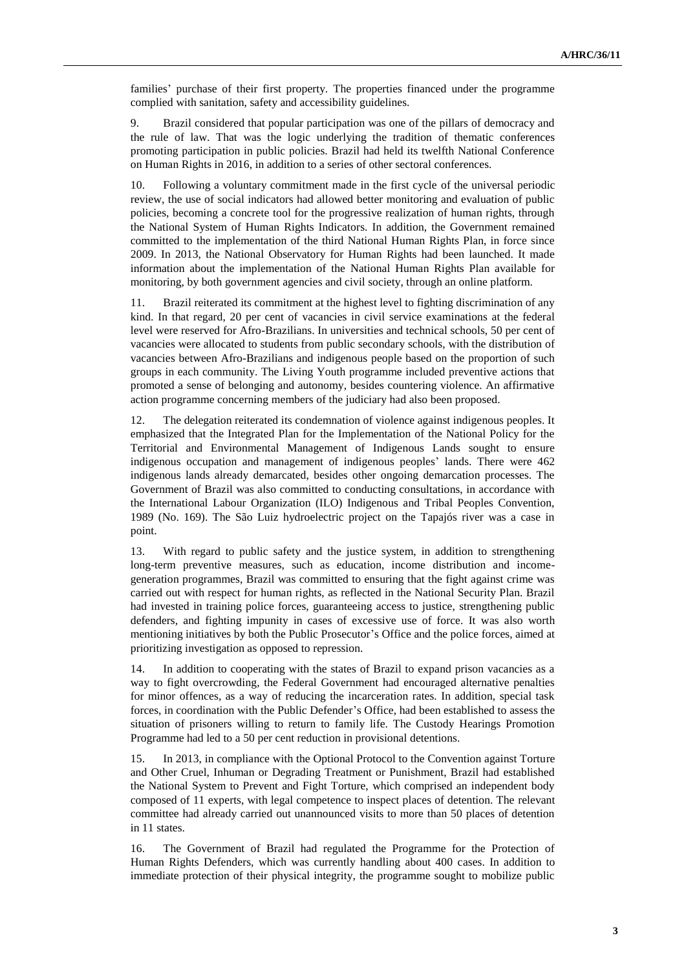families' purchase of their first property. The properties financed under the programme complied with sanitation, safety and accessibility guidelines.

9. Brazil considered that popular participation was one of the pillars of democracy and the rule of law. That was the logic underlying the tradition of thematic conferences promoting participation in public policies. Brazil had held its twelfth National Conference on Human Rights in 2016, in addition to a series of other sectoral conferences.

10. Following a voluntary commitment made in the first cycle of the universal periodic review, the use of social indicators had allowed better monitoring and evaluation of public policies, becoming a concrete tool for the progressive realization of human rights, through the National System of Human Rights Indicators. In addition, the Government remained committed to the implementation of the third National Human Rights Plan, in force since 2009. In 2013, the National Observatory for Human Rights had been launched. It made information about the implementation of the National Human Rights Plan available for monitoring, by both government agencies and civil society, through an online platform.

11. Brazil reiterated its commitment at the highest level to fighting discrimination of any kind. In that regard, 20 per cent of vacancies in civil service examinations at the federal level were reserved for Afro-Brazilians. In universities and technical schools, 50 per cent of vacancies were allocated to students from public secondary schools, with the distribution of vacancies between Afro-Brazilians and indigenous people based on the proportion of such groups in each community. The Living Youth programme included preventive actions that promoted a sense of belonging and autonomy, besides countering violence. An affirmative action programme concerning members of the judiciary had also been proposed.

12. The delegation reiterated its condemnation of violence against indigenous peoples. It emphasized that the Integrated Plan for the Implementation of the National Policy for the Territorial and Environmental Management of Indigenous Lands sought to ensure indigenous occupation and management of indigenous peoples' lands. There were 462 indigenous lands already demarcated, besides other ongoing demarcation processes. The Government of Brazil was also committed to conducting consultations, in accordance with the International Labour Organization (ILO) Indigenous and Tribal Peoples Convention, 1989 (No. 169). The São Luiz hydroelectric project on the Tapajós river was a case in point.

13. With regard to public safety and the justice system, in addition to strengthening long-term preventive measures, such as education, income distribution and incomegeneration programmes, Brazil was committed to ensuring that the fight against crime was carried out with respect for human rights, as reflected in the National Security Plan. Brazil had invested in training police forces, guaranteeing access to justice, strengthening public defenders, and fighting impunity in cases of excessive use of force. It was also worth mentioning initiatives by both the Public Prosecutor's Office and the police forces, aimed at prioritizing investigation as opposed to repression.

14. In addition to cooperating with the states of Brazil to expand prison vacancies as a way to fight overcrowding, the Federal Government had encouraged alternative penalties for minor offences, as a way of reducing the incarceration rates. In addition, special task forces, in coordination with the Public Defender's Office, had been established to assess the situation of prisoners willing to return to family life. The Custody Hearings Promotion Programme had led to a 50 per cent reduction in provisional detentions.

15. In 2013, in compliance with the Optional Protocol to the Convention against Torture and Other Cruel, Inhuman or Degrading Treatment or Punishment, Brazil had established the National System to Prevent and Fight Torture, which comprised an independent body composed of 11 experts, with legal competence to inspect places of detention. The relevant committee had already carried out unannounced visits to more than 50 places of detention in 11 states.

16. The Government of Brazil had regulated the Programme for the Protection of Human Rights Defenders, which was currently handling about 400 cases. In addition to immediate protection of their physical integrity, the programme sought to mobilize public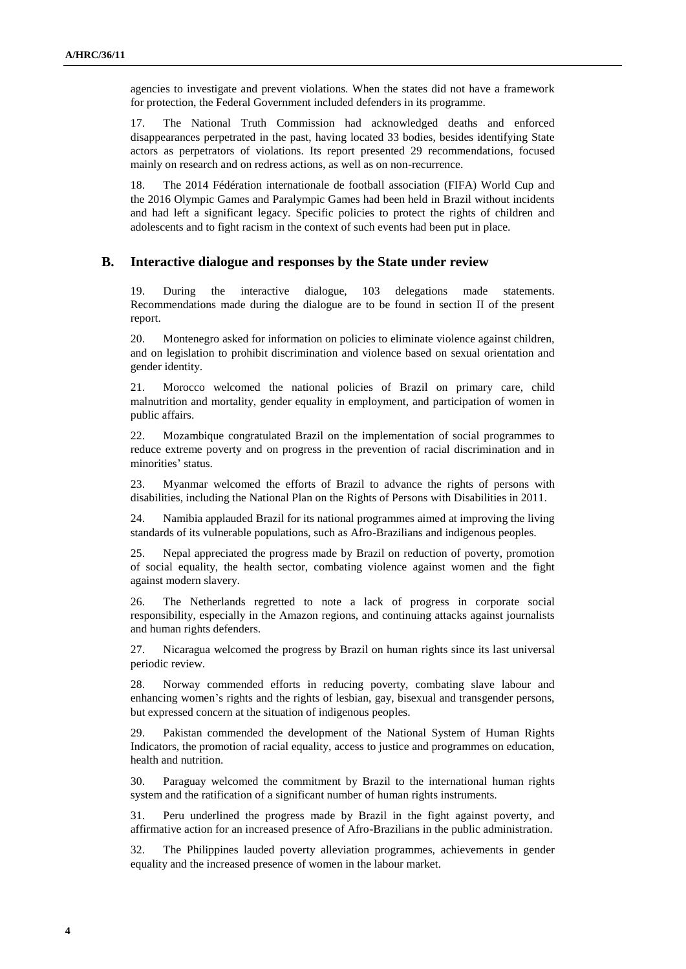agencies to investigate and prevent violations. When the states did not have a framework for protection, the Federal Government included defenders in its programme.

17. The National Truth Commission had acknowledged deaths and enforced disappearances perpetrated in the past, having located 33 bodies, besides identifying State actors as perpetrators of violations. Its report presented 29 recommendations, focused mainly on research and on redress actions, as well as on non-recurrence.

18. The 2014 Fédération internationale de football association (FIFA) World Cup and the 2016 Olympic Games and Paralympic Games had been held in Brazil without incidents and had left a significant legacy. Specific policies to protect the rights of children and adolescents and to fight racism in the context of such events had been put in place.

#### **B. Interactive dialogue and responses by the State under review**

19. During the interactive dialogue, 103 delegations made statements. Recommendations made during the dialogue are to be found in section II of the present report.

20. Montenegro asked for information on policies to eliminate violence against children, and on legislation to prohibit discrimination and violence based on sexual orientation and gender identity.

21. Morocco welcomed the national policies of Brazil on primary care, child malnutrition and mortality, gender equality in employment, and participation of women in public affairs.

22. Mozambique congratulated Brazil on the implementation of social programmes to reduce extreme poverty and on progress in the prevention of racial discrimination and in minorities' status.

23. Myanmar welcomed the efforts of Brazil to advance the rights of persons with disabilities, including the National Plan on the Rights of Persons with Disabilities in 2011.

24. Namibia applauded Brazil for its national programmes aimed at improving the living standards of its vulnerable populations, such as Afro-Brazilians and indigenous peoples.

25. Nepal appreciated the progress made by Brazil on reduction of poverty, promotion of social equality, the health sector, combating violence against women and the fight against modern slavery.

26. The Netherlands regretted to note a lack of progress in corporate social responsibility, especially in the Amazon regions, and continuing attacks against journalists and human rights defenders.

27. Nicaragua welcomed the progress by Brazil on human rights since its last universal periodic review.

28. Norway commended efforts in reducing poverty, combating slave labour and enhancing women's rights and the rights of lesbian, gay, bisexual and transgender persons, but expressed concern at the situation of indigenous peoples.

29. Pakistan commended the development of the National System of Human Rights Indicators, the promotion of racial equality, access to justice and programmes on education, health and nutrition.

30. Paraguay welcomed the commitment by Brazil to the international human rights system and the ratification of a significant number of human rights instruments.

31. Peru underlined the progress made by Brazil in the fight against poverty, and affirmative action for an increased presence of Afro-Brazilians in the public administration.

32. The Philippines lauded poverty alleviation programmes, achievements in gender equality and the increased presence of women in the labour market.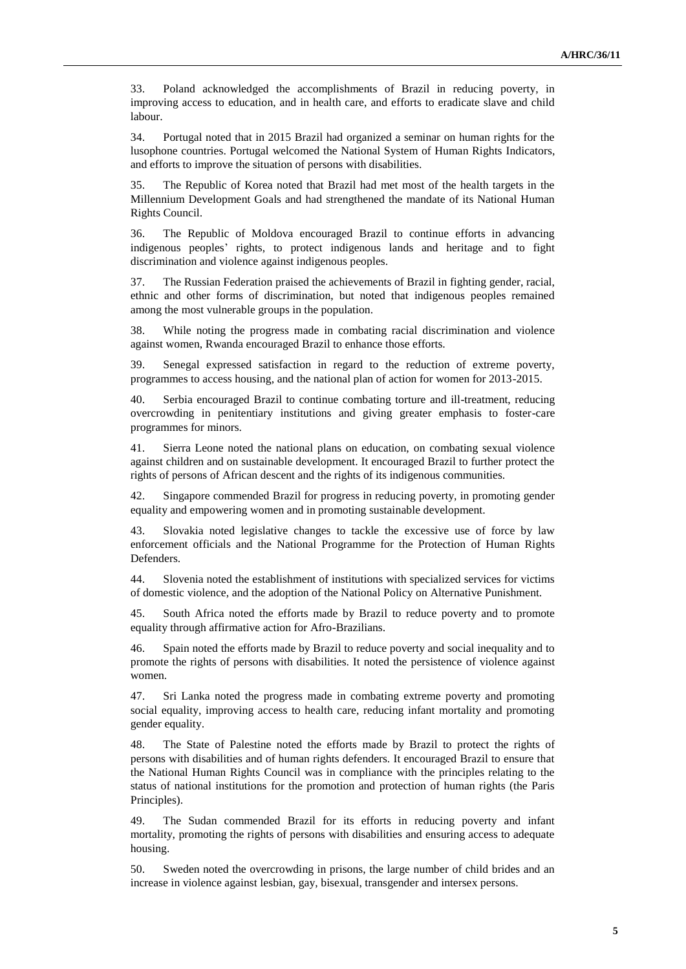33. Poland acknowledged the accomplishments of Brazil in reducing poverty, in improving access to education, and in health care, and efforts to eradicate slave and child labour.

34. Portugal noted that in 2015 Brazil had organized a seminar on human rights for the lusophone countries. Portugal welcomed the National System of Human Rights Indicators, and efforts to improve the situation of persons with disabilities.

35. The Republic of Korea noted that Brazil had met most of the health targets in the Millennium Development Goals and had strengthened the mandate of its National Human Rights Council.

36. The Republic of Moldova encouraged Brazil to continue efforts in advancing indigenous peoples' rights, to protect indigenous lands and heritage and to fight discrimination and violence against indigenous peoples.

37. The Russian Federation praised the achievements of Brazil in fighting gender, racial, ethnic and other forms of discrimination, but noted that indigenous peoples remained among the most vulnerable groups in the population.

38. While noting the progress made in combating racial discrimination and violence against women, Rwanda encouraged Brazil to enhance those efforts.

39. Senegal expressed satisfaction in regard to the reduction of extreme poverty, programmes to access housing, and the national plan of action for women for 2013-2015.

40. Serbia encouraged Brazil to continue combating torture and ill-treatment, reducing overcrowding in penitentiary institutions and giving greater emphasis to foster-care programmes for minors.

41. Sierra Leone noted the national plans on education, on combating sexual violence against children and on sustainable development. It encouraged Brazil to further protect the rights of persons of African descent and the rights of its indigenous communities.

42. Singapore commended Brazil for progress in reducing poverty, in promoting gender equality and empowering women and in promoting sustainable development.

43. Slovakia noted legislative changes to tackle the excessive use of force by law enforcement officials and the National Programme for the Protection of Human Rights Defenders.

44. Slovenia noted the establishment of institutions with specialized services for victims of domestic violence, and the adoption of the National Policy on Alternative Punishment.

45. South Africa noted the efforts made by Brazil to reduce poverty and to promote equality through affirmative action for Afro-Brazilians.

46. Spain noted the efforts made by Brazil to reduce poverty and social inequality and to promote the rights of persons with disabilities. It noted the persistence of violence against women.

47. Sri Lanka noted the progress made in combating extreme poverty and promoting social equality, improving access to health care, reducing infant mortality and promoting gender equality.

48. The State of Palestine noted the efforts made by Brazil to protect the rights of persons with disabilities and of human rights defenders. It encouraged Brazil to ensure that the National Human Rights Council was in compliance with the principles relating to the status of national institutions for the promotion and protection of human rights (the Paris Principles).

49. The Sudan commended Brazil for its efforts in reducing poverty and infant mortality, promoting the rights of persons with disabilities and ensuring access to adequate housing.

50. Sweden noted the overcrowding in prisons, the large number of child brides and an increase in violence against lesbian, gay, bisexual, transgender and intersex persons.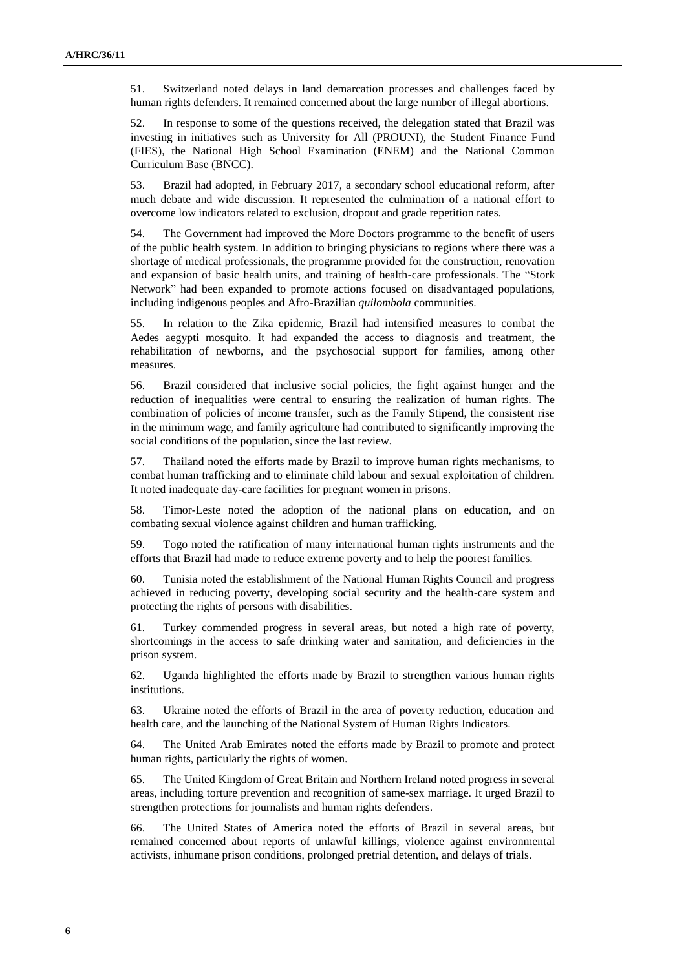51. Switzerland noted delays in land demarcation processes and challenges faced by human rights defenders. It remained concerned about the large number of illegal abortions.

52. In response to some of the questions received, the delegation stated that Brazil was investing in initiatives such as University for All (PROUNI), the Student Finance Fund (FIES), the National High School Examination (ENEM) and the National Common Curriculum Base (BNCC).

53. Brazil had adopted, in February 2017, a secondary school educational reform, after much debate and wide discussion. It represented the culmination of a national effort to overcome low indicators related to exclusion, dropout and grade repetition rates.

54. The Government had improved the More Doctors programme to the benefit of users of the public health system. In addition to bringing physicians to regions where there was a shortage of medical professionals, the programme provided for the construction, renovation and expansion of basic health units, and training of health-care professionals. The "Stork Network" had been expanded to promote actions focused on disadvantaged populations, including indigenous peoples and Afro-Brazilian *quilombola* communities.

55. In relation to the Zika epidemic, Brazil had intensified measures to combat the Aedes aegypti mosquito. It had expanded the access to diagnosis and treatment, the rehabilitation of newborns, and the psychosocial support for families, among other measures.

56. Brazil considered that inclusive social policies, the fight against hunger and the reduction of inequalities were central to ensuring the realization of human rights. The combination of policies of income transfer, such as the Family Stipend, the consistent rise in the minimum wage, and family agriculture had contributed to significantly improving the social conditions of the population, since the last review.

57. Thailand noted the efforts made by Brazil to improve human rights mechanisms, to combat human trafficking and to eliminate child labour and sexual exploitation of children. It noted inadequate day-care facilities for pregnant women in prisons.

58. Timor-Leste noted the adoption of the national plans on education, and on combating sexual violence against children and human trafficking.

59. Togo noted the ratification of many international human rights instruments and the efforts that Brazil had made to reduce extreme poverty and to help the poorest families.

60. Tunisia noted the establishment of the National Human Rights Council and progress achieved in reducing poverty, developing social security and the health-care system and protecting the rights of persons with disabilities.

61. Turkey commended progress in several areas, but noted a high rate of poverty, shortcomings in the access to safe drinking water and sanitation, and deficiencies in the prison system.

62. Uganda highlighted the efforts made by Brazil to strengthen various human rights institutions.

63. Ukraine noted the efforts of Brazil in the area of poverty reduction, education and health care, and the launching of the National System of Human Rights Indicators.

64. The United Arab Emirates noted the efforts made by Brazil to promote and protect human rights, particularly the rights of women.

65. The United Kingdom of Great Britain and Northern Ireland noted progress in several areas, including torture prevention and recognition of same-sex marriage. It urged Brazil to strengthen protections for journalists and human rights defenders.

66. The United States of America noted the efforts of Brazil in several areas, but remained concerned about reports of unlawful killings, violence against environmental activists, inhumane prison conditions, prolonged pretrial detention, and delays of trials.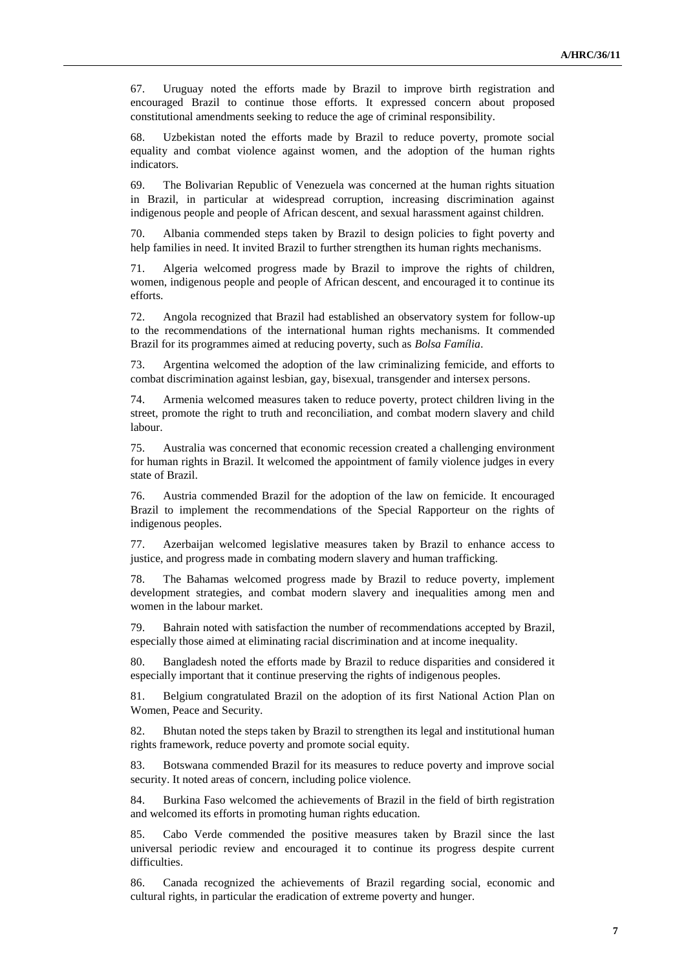67. Uruguay noted the efforts made by Brazil to improve birth registration and encouraged Brazil to continue those efforts. It expressed concern about proposed constitutional amendments seeking to reduce the age of criminal responsibility.

68. Uzbekistan noted the efforts made by Brazil to reduce poverty, promote social equality and combat violence against women, and the adoption of the human rights indicators.

69. The Bolivarian Republic of Venezuela was concerned at the human rights situation in Brazil, in particular at widespread corruption, increasing discrimination against indigenous people and people of African descent, and sexual harassment against children.

70. Albania commended steps taken by Brazil to design policies to fight poverty and help families in need. It invited Brazil to further strengthen its human rights mechanisms.

71. Algeria welcomed progress made by Brazil to improve the rights of children, women, indigenous people and people of African descent, and encouraged it to continue its efforts.

72. Angola recognized that Brazil had established an observatory system for follow-up to the recommendations of the international human rights mechanisms. It commended Brazil for its programmes aimed at reducing poverty, such as *Bolsa Família*.

73. Argentina welcomed the adoption of the law criminalizing femicide, and efforts to combat discrimination against lesbian, gay, bisexual, transgender and intersex persons.

74. Armenia welcomed measures taken to reduce poverty, protect children living in the street, promote the right to truth and reconciliation, and combat modern slavery and child labour.

75. Australia was concerned that economic recession created a challenging environment for human rights in Brazil. It welcomed the appointment of family violence judges in every state of Brazil.

76. Austria commended Brazil for the adoption of the law on femicide. It encouraged Brazil to implement the recommendations of the Special Rapporteur on the rights of indigenous peoples.

77. Azerbaijan welcomed legislative measures taken by Brazil to enhance access to justice, and progress made in combating modern slavery and human trafficking.

78. The Bahamas welcomed progress made by Brazil to reduce poverty, implement development strategies, and combat modern slavery and inequalities among men and women in the labour market.

79. Bahrain noted with satisfaction the number of recommendations accepted by Brazil, especially those aimed at eliminating racial discrimination and at income inequality.

80. Bangladesh noted the efforts made by Brazil to reduce disparities and considered it especially important that it continue preserving the rights of indigenous peoples.

81. Belgium congratulated Brazil on the adoption of its first National Action Plan on Women, Peace and Security.

82. Bhutan noted the steps taken by Brazil to strengthen its legal and institutional human rights framework, reduce poverty and promote social equity.

83. Botswana commended Brazil for its measures to reduce poverty and improve social security. It noted areas of concern, including police violence.

84. Burkina Faso welcomed the achievements of Brazil in the field of birth registration and welcomed its efforts in promoting human rights education.

85. Cabo Verde commended the positive measures taken by Brazil since the last universal periodic review and encouraged it to continue its progress despite current difficulties.

86. Canada recognized the achievements of Brazil regarding social, economic and cultural rights, in particular the eradication of extreme poverty and hunger.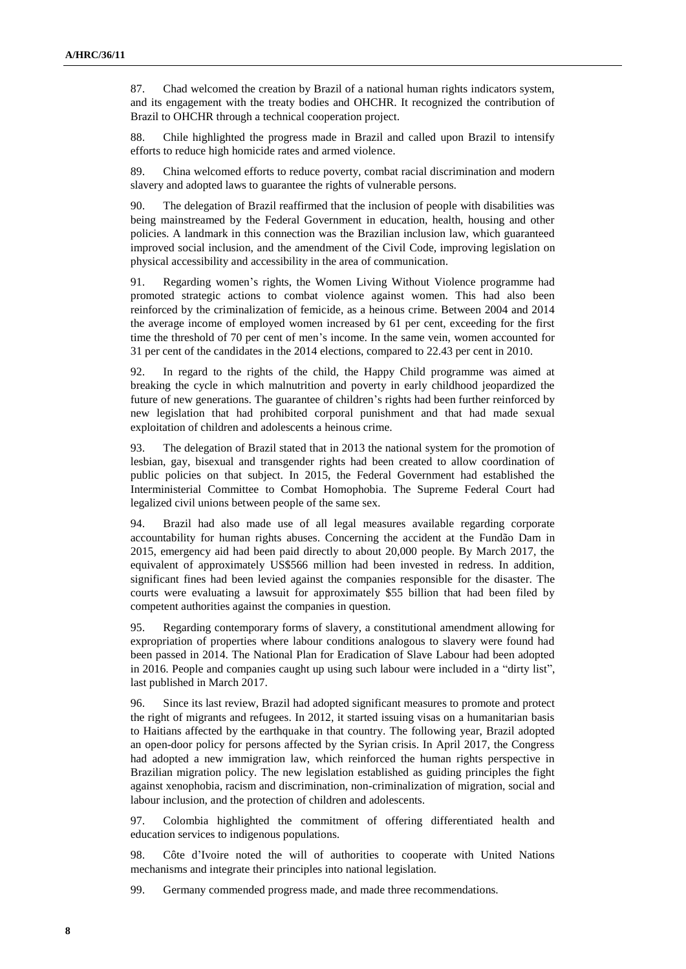87. Chad welcomed the creation by Brazil of a national human rights indicators system, and its engagement with the treaty bodies and OHCHR. It recognized the contribution of Brazil to OHCHR through a technical cooperation project.

88. Chile highlighted the progress made in Brazil and called upon Brazil to intensify efforts to reduce high homicide rates and armed violence.

89. China welcomed efforts to reduce poverty, combat racial discrimination and modern slavery and adopted laws to guarantee the rights of vulnerable persons.

90. The delegation of Brazil reaffirmed that the inclusion of people with disabilities was being mainstreamed by the Federal Government in education, health, housing and other policies. A landmark in this connection was the Brazilian inclusion law, which guaranteed improved social inclusion, and the amendment of the Civil Code, improving legislation on physical accessibility and accessibility in the area of communication.

91. Regarding women's rights, the Women Living Without Violence programme had promoted strategic actions to combat violence against women. This had also been reinforced by the criminalization of femicide, as a heinous crime. Between 2004 and 2014 the average income of employed women increased by 61 per cent, exceeding for the first time the threshold of 70 per cent of men's income. In the same vein, women accounted for 31 per cent of the candidates in the 2014 elections, compared to 22.43 per cent in 2010.

92. In regard to the rights of the child, the Happy Child programme was aimed at breaking the cycle in which malnutrition and poverty in early childhood jeopardized the future of new generations. The guarantee of children's rights had been further reinforced by new legislation that had prohibited corporal punishment and that had made sexual exploitation of children and adolescents a heinous crime.

93. The delegation of Brazil stated that in 2013 the national system for the promotion of lesbian, gay, bisexual and transgender rights had been created to allow coordination of public policies on that subject. In 2015, the Federal Government had established the Interministerial Committee to Combat Homophobia. The Supreme Federal Court had legalized civil unions between people of the same sex.

94. Brazil had also made use of all legal measures available regarding corporate accountability for human rights abuses. Concerning the accident at the Fundão Dam in 2015, emergency aid had been paid directly to about 20,000 people. By March 2017, the equivalent of approximately US\$566 million had been invested in redress. In addition, significant fines had been levied against the companies responsible for the disaster. The courts were evaluating a lawsuit for approximately \$55 billion that had been filed by competent authorities against the companies in question.

95. Regarding contemporary forms of slavery, a constitutional amendment allowing for expropriation of properties where labour conditions analogous to slavery were found had been passed in 2014. The National Plan for Eradication of Slave Labour had been adopted in 2016. People and companies caught up using such labour were included in a "dirty list", last published in March 2017.

96. Since its last review, Brazil had adopted significant measures to promote and protect the right of migrants and refugees. In 2012, it started issuing visas on a humanitarian basis to Haitians affected by the earthquake in that country. The following year, Brazil adopted an open-door policy for persons affected by the Syrian crisis. In April 2017, the Congress had adopted a new immigration law, which reinforced the human rights perspective in Brazilian migration policy. The new legislation established as guiding principles the fight against xenophobia, racism and discrimination, non-criminalization of migration, social and labour inclusion, and the protection of children and adolescents.

97. Colombia highlighted the commitment of offering differentiated health and education services to indigenous populations.

98. Côte d'Ivoire noted the will of authorities to cooperate with United Nations mechanisms and integrate their principles into national legislation.

99. Germany commended progress made, and made three recommendations.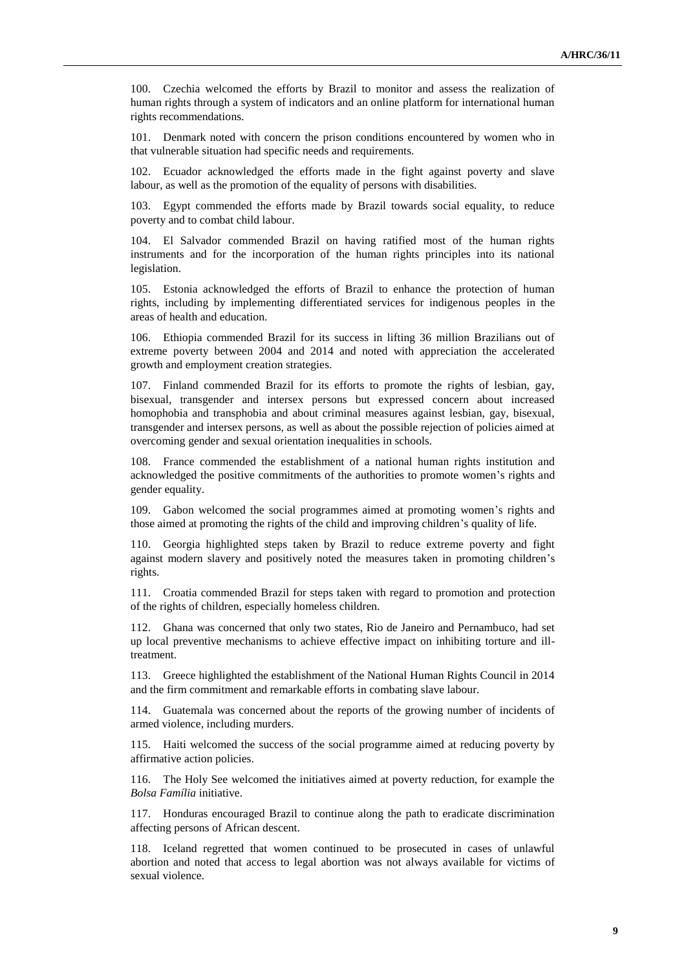100. Czechia welcomed the efforts by Brazil to monitor and assess the realization of human rights through a system of indicators and an online platform for international human rights recommendations.

101. Denmark noted with concern the prison conditions encountered by women who in that vulnerable situation had specific needs and requirements.

102. Ecuador acknowledged the efforts made in the fight against poverty and slave labour, as well as the promotion of the equality of persons with disabilities.

103. Egypt commended the efforts made by Brazil towards social equality, to reduce poverty and to combat child labour.

104. El Salvador commended Brazil on having ratified most of the human rights instruments and for the incorporation of the human rights principles into its national legislation.

105. Estonia acknowledged the efforts of Brazil to enhance the protection of human rights, including by implementing differentiated services for indigenous peoples in the areas of health and education.

106. Ethiopia commended Brazil for its success in lifting 36 million Brazilians out of extreme poverty between 2004 and 2014 and noted with appreciation the accelerated growth and employment creation strategies.

107. Finland commended Brazil for its efforts to promote the rights of lesbian, gay, bisexual, transgender and intersex persons but expressed concern about increased homophobia and transphobia and about criminal measures against lesbian, gay, bisexual, transgender and intersex persons, as well as about the possible rejection of policies aimed at overcoming gender and sexual orientation inequalities in schools.

108. France commended the establishment of a national human rights institution and acknowledged the positive commitments of the authorities to promote women's rights and gender equality.

109. Gabon welcomed the social programmes aimed at promoting women's rights and those aimed at promoting the rights of the child and improving children's quality of life.

110. Georgia highlighted steps taken by Brazil to reduce extreme poverty and fight against modern slavery and positively noted the measures taken in promoting children's rights.

111. Croatia commended Brazil for steps taken with regard to promotion and protection of the rights of children, especially homeless children.

112. Ghana was concerned that only two states, Rio de Janeiro and Pernambuco, had set up local preventive mechanisms to achieve effective impact on inhibiting torture and illtreatment.

113. Greece highlighted the establishment of the National Human Rights Council in 2014 and the firm commitment and remarkable efforts in combating slave labour.

114. Guatemala was concerned about the reports of the growing number of incidents of armed violence, including murders.

115. Haiti welcomed the success of the social programme aimed at reducing poverty by affirmative action policies.

116. The Holy See welcomed the initiatives aimed at poverty reduction, for example the *Bolsa Família* initiative.

117. Honduras encouraged Brazil to continue along the path to eradicate discrimination affecting persons of African descent.

118. Iceland regretted that women continued to be prosecuted in cases of unlawful abortion and noted that access to legal abortion was not always available for victims of sexual violence.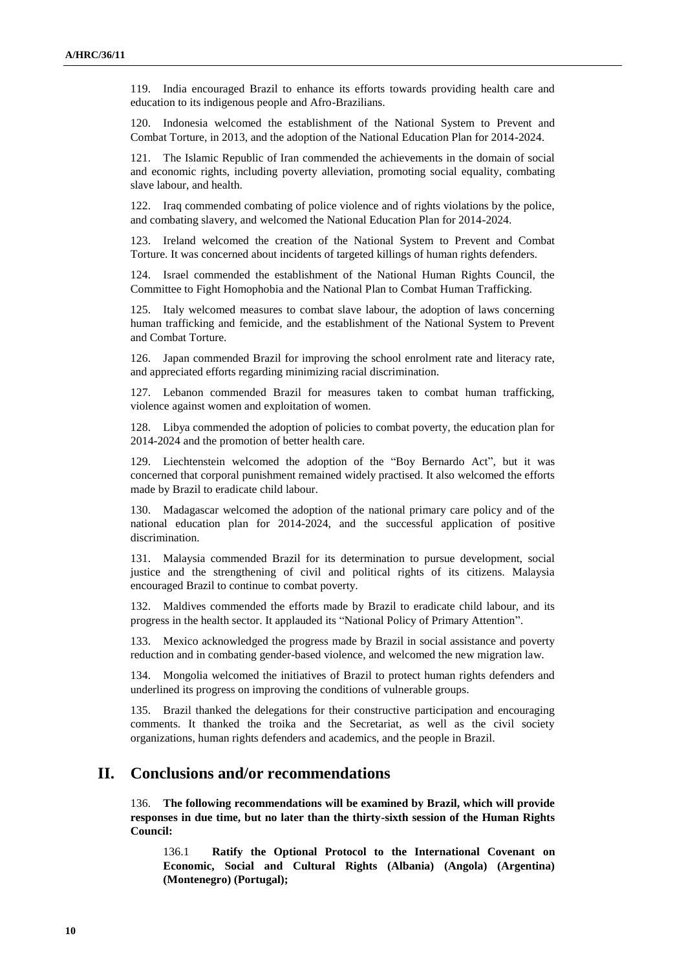119. India encouraged Brazil to enhance its efforts towards providing health care and education to its indigenous people and Afro-Brazilians.

120. Indonesia welcomed the establishment of the National System to Prevent and Combat Torture, in 2013, and the adoption of the National Education Plan for 2014-2024.

121. The Islamic Republic of Iran commended the achievements in the domain of social and economic rights, including poverty alleviation, promoting social equality, combating slave labour, and health.

122. Iraq commended combating of police violence and of rights violations by the police, and combating slavery, and welcomed the National Education Plan for 2014-2024.

123. Ireland welcomed the creation of the National System to Prevent and Combat Torture. It was concerned about incidents of targeted killings of human rights defenders.

124. Israel commended the establishment of the National Human Rights Council, the Committee to Fight Homophobia and the National Plan to Combat Human Trafficking.

125. Italy welcomed measures to combat slave labour, the adoption of laws concerning human trafficking and femicide, and the establishment of the National System to Prevent and Combat Torture.

126. Japan commended Brazil for improving the school enrolment rate and literacy rate, and appreciated efforts regarding minimizing racial discrimination.

127. Lebanon commended Brazil for measures taken to combat human trafficking, violence against women and exploitation of women.

128. Libya commended the adoption of policies to combat poverty, the education plan for 2014-2024 and the promotion of better health care.

129. Liechtenstein welcomed the adoption of the "Boy Bernardo Act", but it was concerned that corporal punishment remained widely practised. It also welcomed the efforts made by Brazil to eradicate child labour.

130. Madagascar welcomed the adoption of the national primary care policy and of the national education plan for 2014-2024, and the successful application of positive discrimination.

131. Malaysia commended Brazil for its determination to pursue development, social justice and the strengthening of civil and political rights of its citizens. Malaysia encouraged Brazil to continue to combat poverty.

132. Maldives commended the efforts made by Brazil to eradicate child labour, and its progress in the health sector. It applauded its "National Policy of Primary Attention".

133. Mexico acknowledged the progress made by Brazil in social assistance and poverty reduction and in combating gender-based violence, and welcomed the new migration law.

134. Mongolia welcomed the initiatives of Brazil to protect human rights defenders and underlined its progress on improving the conditions of vulnerable groups.

135. Brazil thanked the delegations for their constructive participation and encouraging comments. It thanked the troika and the Secretariat, as well as the civil society organizations, human rights defenders and academics, and the people in Brazil.

## **II. Conclusions and/or recommendations**

136. **The following recommendations will be examined by Brazil, which will provide responses in due time, but no later than the thirty-sixth session of the Human Rights Council:**

136.1 **Ratify the Optional Protocol to the International Covenant on Economic, Social and Cultural Rights (Albania) (Angola) (Argentina) (Montenegro) (Portugal);**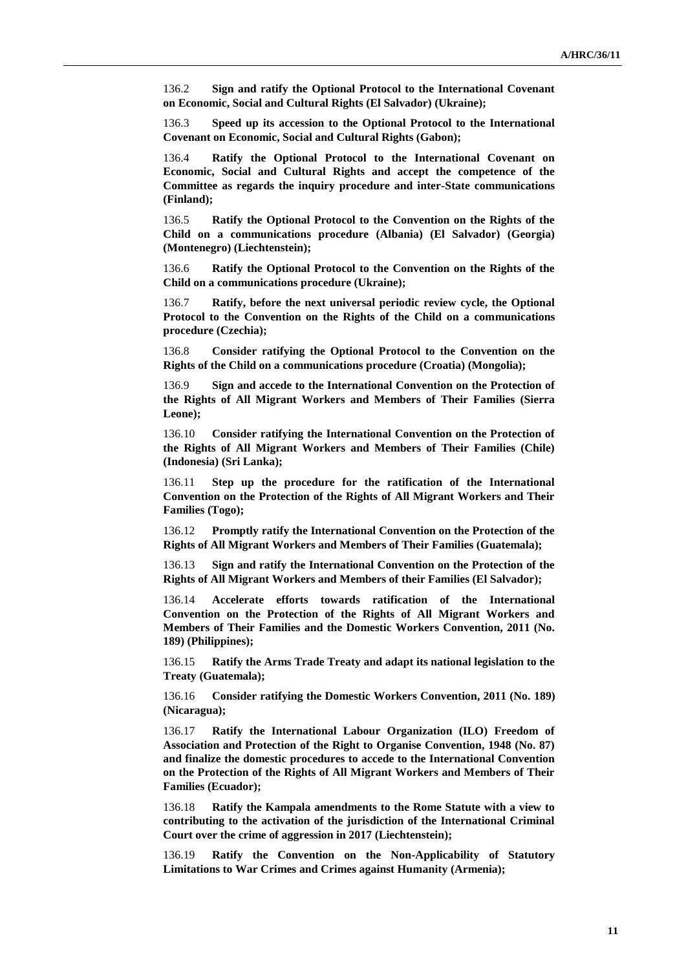136.2 **Sign and ratify the Optional Protocol to the International Covenant on Economic, Social and Cultural Rights (El Salvador) (Ukraine);**

136.3 **Speed up its accession to the Optional Protocol to the International Covenant on Economic, Social and Cultural Rights (Gabon);**

136.4 **Ratify the Optional Protocol to the International Covenant on Economic, Social and Cultural Rights and accept the competence of the Committee as regards the inquiry procedure and inter-State communications (Finland);**

136.5 **Ratify the Optional Protocol to the Convention on the Rights of the Child on a communications procedure (Albania) (El Salvador) (Georgia) (Montenegro) (Liechtenstein);**

136.6 **Ratify the Optional Protocol to the Convention on the Rights of the Child on a communications procedure (Ukraine);**

136.7 **Ratify, before the next universal periodic review cycle, the Optional Protocol to the Convention on the Rights of the Child on a communications procedure (Czechia);**

136.8 **Consider ratifying the Optional Protocol to the Convention on the Rights of the Child on a communications procedure (Croatia) (Mongolia);**

136.9 **Sign and accede to the International Convention on the Protection of the Rights of All Migrant Workers and Members of Their Families (Sierra Leone);**

136.10 **Consider ratifying the International Convention on the Protection of the Rights of All Migrant Workers and Members of Their Families (Chile) (Indonesia) (Sri Lanka);**

136.11 **Step up the procedure for the ratification of the International Convention on the Protection of the Rights of All Migrant Workers and Their Families (Togo);**

136.12 **Promptly ratify the International Convention on the Protection of the Rights of All Migrant Workers and Members of Their Families (Guatemala);**

136.13 **Sign and ratify the International Convention on the Protection of the Rights of All Migrant Workers and Members of their Families (El Salvador);**

136.14 **Accelerate efforts towards ratification of the International Convention on the Protection of the Rights of All Migrant Workers and Members of Their Families and the Domestic Workers Convention, 2011 (No. 189) (Philippines);**

136.15 **Ratify the Arms Trade Treaty and adapt its national legislation to the Treaty (Guatemala);**

136.16 **Consider ratifying the Domestic Workers Convention, 2011 (No. 189) (Nicaragua);**

136.17 **Ratify the International Labour Organization (ILO) Freedom of Association and Protection of the Right to Organise Convention, 1948 (No. 87) and finalize the domestic procedures to accede to the International Convention on the Protection of the Rights of All Migrant Workers and Members of Their Families (Ecuador);**

136.18 **Ratify the Kampala amendments to the Rome Statute with a view to contributing to the activation of the jurisdiction of the International Criminal Court over the crime of aggression in 2017 (Liechtenstein);**

136.19 **Ratify the Convention on the Non-Applicability of Statutory Limitations to War Crimes and Crimes against Humanity (Armenia);**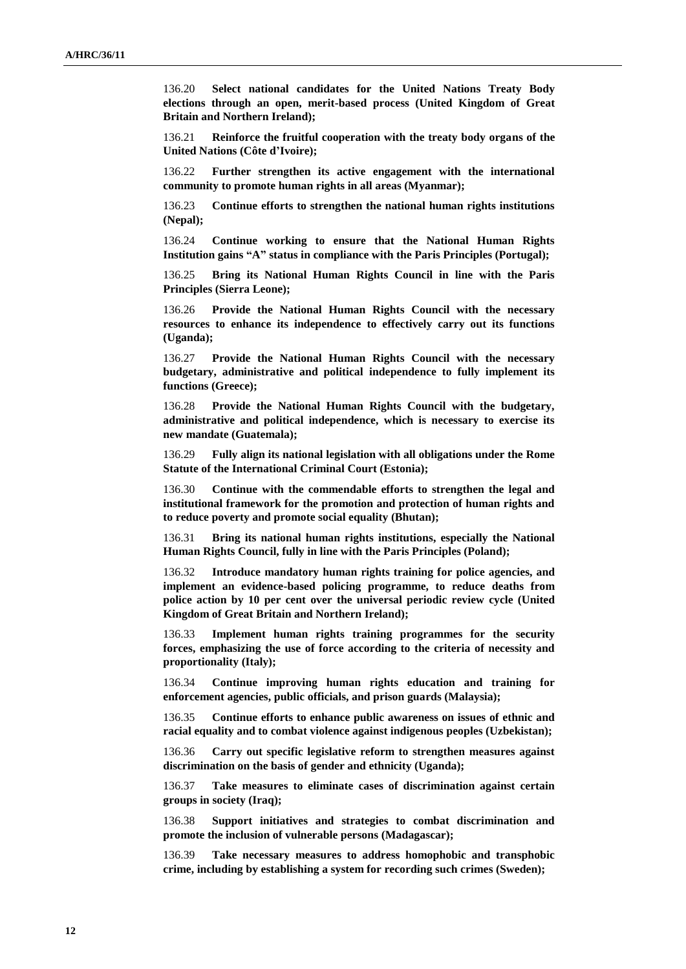136.20 **Select national candidates for the United Nations Treaty Body elections through an open, merit-based process (United Kingdom of Great Britain and Northern Ireland);**

136.21 **Reinforce the fruitful cooperation with the treaty body organs of the United Nations (Côte d'Ivoire);** 

136.22 **Further strengthen its active engagement with the international community to promote human rights in all areas (Myanmar);**

136.23 **Continue efforts to strengthen the national human rights institutions (Nepal);**

136.24 **Continue working to ensure that the National Human Rights Institution gains "A" status in compliance with the Paris Principles (Portugal);**

136.25 **Bring its National Human Rights Council in line with the Paris Principles (Sierra Leone);**

136.26 **Provide the National Human Rights Council with the necessary resources to enhance its independence to effectively carry out its functions (Uganda);**

136.27 **Provide the National Human Rights Council with the necessary budgetary, administrative and political independence to fully implement its functions (Greece);**

136.28 **Provide the National Human Rights Council with the budgetary, administrative and political independence, which is necessary to exercise its new mandate (Guatemala);**

136.29 **Fully align its national legislation with all obligations under the Rome Statute of the International Criminal Court (Estonia);**

136.30 **Continue with the commendable efforts to strengthen the legal and institutional framework for the promotion and protection of human rights and to reduce poverty and promote social equality (Bhutan);**

136.31 **Bring its national human rights institutions, especially the National Human Rights Council, fully in line with the Paris Principles (Poland);**

136.32 **Introduce mandatory human rights training for police agencies, and implement an evidence-based policing programme, to reduce deaths from police action by 10 per cent over the universal periodic review cycle (United Kingdom of Great Britain and Northern Ireland);**

136.33 **Implement human rights training programmes for the security forces, emphasizing the use of force according to the criteria of necessity and proportionality (Italy);**

136.34 **Continue improving human rights education and training for enforcement agencies, public officials, and prison guards (Malaysia);**

136.35 **Continue efforts to enhance public awareness on issues of ethnic and racial equality and to combat violence against indigenous peoples (Uzbekistan);**

136.36 **Carry out specific legislative reform to strengthen measures against discrimination on the basis of gender and ethnicity (Uganda);**

136.37 **Take measures to eliminate cases of discrimination against certain groups in society (Iraq);**

136.38 **Support initiatives and strategies to combat discrimination and promote the inclusion of vulnerable persons (Madagascar);**

136.39 **Take necessary measures to address homophobic and transphobic crime, including by establishing a system for recording such crimes (Sweden);**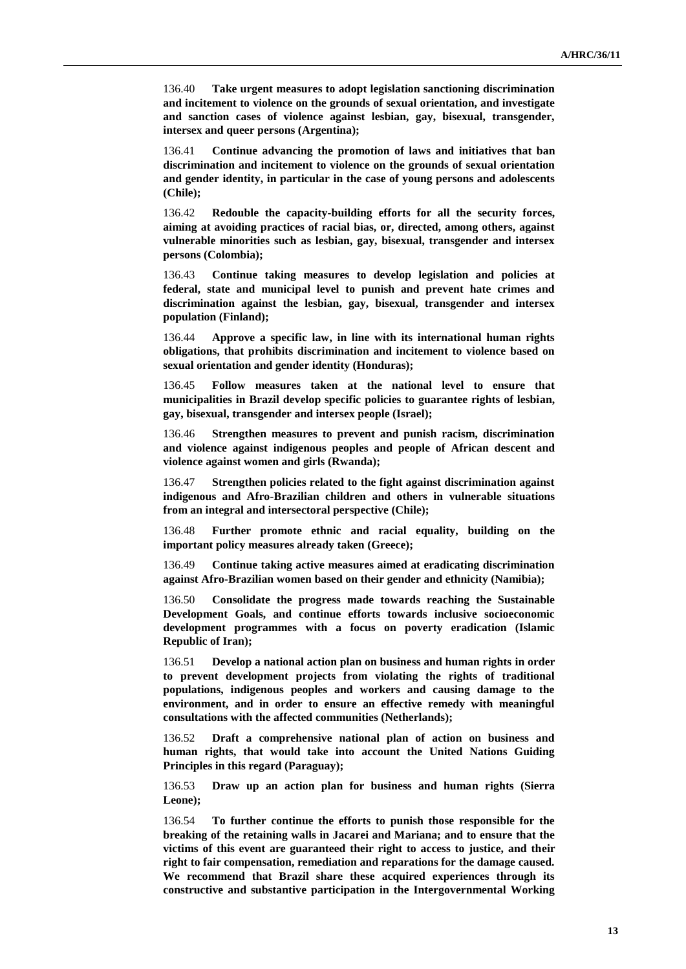136.40 **Take urgent measures to adopt legislation sanctioning discrimination and incitement to violence on the grounds of sexual orientation, and investigate and sanction cases of violence against lesbian, gay, bisexual, transgender, intersex and queer persons (Argentina);**

136.41 **Continue advancing the promotion of laws and initiatives that ban discrimination and incitement to violence on the grounds of sexual orientation and gender identity, in particular in the case of young persons and adolescents (Chile);**

136.42 **Redouble the capacity-building efforts for all the security forces, aiming at avoiding practices of racial bias, or, directed, among others, against vulnerable minorities such as lesbian, gay, bisexual, transgender and intersex persons (Colombia);**

136.43 **Continue taking measures to develop legislation and policies at federal, state and municipal level to punish and prevent hate crimes and discrimination against the lesbian, gay, bisexual, transgender and intersex population (Finland);**

136.44 **Approve a specific law, in line with its international human rights obligations, that prohibits discrimination and incitement to violence based on sexual orientation and gender identity (Honduras);**

136.45 **Follow measures taken at the national level to ensure that municipalities in Brazil develop specific policies to guarantee rights of lesbian, gay, bisexual, transgender and intersex people (Israel);**

136.46 **Strengthen measures to prevent and punish racism, discrimination and violence against indigenous peoples and people of African descent and violence against women and girls (Rwanda);**

136.47 **Strengthen policies related to the fight against discrimination against indigenous and Afro-Brazilian children and others in vulnerable situations from an integral and intersectoral perspective (Chile);** 

136.48 **Further promote ethnic and racial equality, building on the important policy measures already taken (Greece);**

136.49 **Continue taking active measures aimed at eradicating discrimination against Afro-Brazilian women based on their gender and ethnicity (Namibia);**

136.50 **Consolidate the progress made towards reaching the Sustainable Development Goals, and continue efforts towards inclusive socioeconomic development programmes with a focus on poverty eradication (Islamic Republic of Iran);**

136.51 **Develop a national action plan on business and human rights in order to prevent development projects from violating the rights of traditional populations, indigenous peoples and workers and causing damage to the environment, and in order to ensure an effective remedy with meaningful consultations with the affected communities (Netherlands);**

136.52 **Draft a comprehensive national plan of action on business and human rights, that would take into account the United Nations Guiding Principles in this regard (Paraguay);**

136.53 **Draw up an action plan for business and human rights (Sierra Leone);**

136.54 **To further continue the efforts to punish those responsible for the breaking of the retaining walls in Jacarei and Mariana; and to ensure that the victims of this event are guaranteed their right to access to justice, and their right to fair compensation, remediation and reparations for the damage caused. We recommend that Brazil share these acquired experiences through its constructive and substantive participation in the Intergovernmental Working**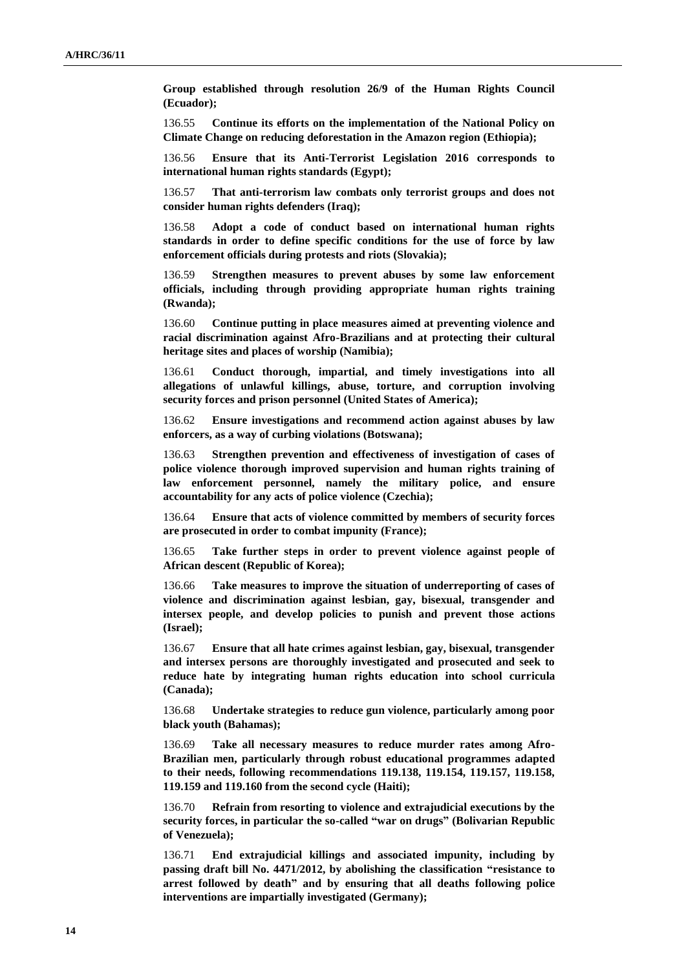**Group established through resolution 26/9 of the Human Rights Council (Ecuador);**

136.55 **Continue its efforts on the implementation of the National Policy on Climate Change on reducing deforestation in the Amazon region (Ethiopia);**

136.56 **Ensure that its Anti-Terrorist Legislation 2016 corresponds to international human rights standards (Egypt);**

136.57 **That anti-terrorism law combats only terrorist groups and does not consider human rights defenders (Iraq);**

136.58 **Adopt a code of conduct based on international human rights standards in order to define specific conditions for the use of force by law enforcement officials during protests and riots (Slovakia);**

136.59 **Strengthen measures to prevent abuses by some law enforcement officials, including through providing appropriate human rights training (Rwanda);**

136.60 **Continue putting in place measures aimed at preventing violence and racial discrimination against Afro-Brazilians and at protecting their cultural heritage sites and places of worship (Namibia);**

136.61 **Conduct thorough, impartial, and timely investigations into all allegations of unlawful killings, abuse, torture, and corruption involving security forces and prison personnel (United States of America);**

136.62 **Ensure investigations and recommend action against abuses by law enforcers, as a way of curbing violations (Botswana);**

136.63 **Strengthen prevention and effectiveness of investigation of cases of police violence thorough improved supervision and human rights training of law enforcement personnel, namely the military police, and ensure accountability for any acts of police violence (Czechia);**

136.64 **Ensure that acts of violence committed by members of security forces are prosecuted in order to combat impunity (France);**

136.65 **Take further steps in order to prevent violence against people of African descent (Republic of Korea);**

136.66 **Take measures to improve the situation of underreporting of cases of violence and discrimination against lesbian, gay, bisexual, transgender and intersex people, and develop policies to punish and prevent those actions (Israel);**

136.67 **Ensure that all hate crimes against lesbian, gay, bisexual, transgender and intersex persons are thoroughly investigated and prosecuted and seek to reduce hate by integrating human rights education into school curricula (Canada);**

136.68 **Undertake strategies to reduce gun violence, particularly among poor black youth (Bahamas);**

136.69 **Take all necessary measures to reduce murder rates among Afro-Brazilian men, particularly through robust educational programmes adapted to their needs, following recommendations 119.138, 119.154, 119.157, 119.158, 119.159 and 119.160 from the second cycle (Haiti);**

136.70 **Refrain from resorting to violence and extrajudicial executions by the security forces, in particular the so-called "war on drugs" (Bolivarian Republic of Venezuela);**

136.71 **End extrajudicial killings and associated impunity, including by passing draft bill No. 4471/2012, by abolishing the classification "resistance to arrest followed by death" and by ensuring that all deaths following police interventions are impartially investigated (Germany);**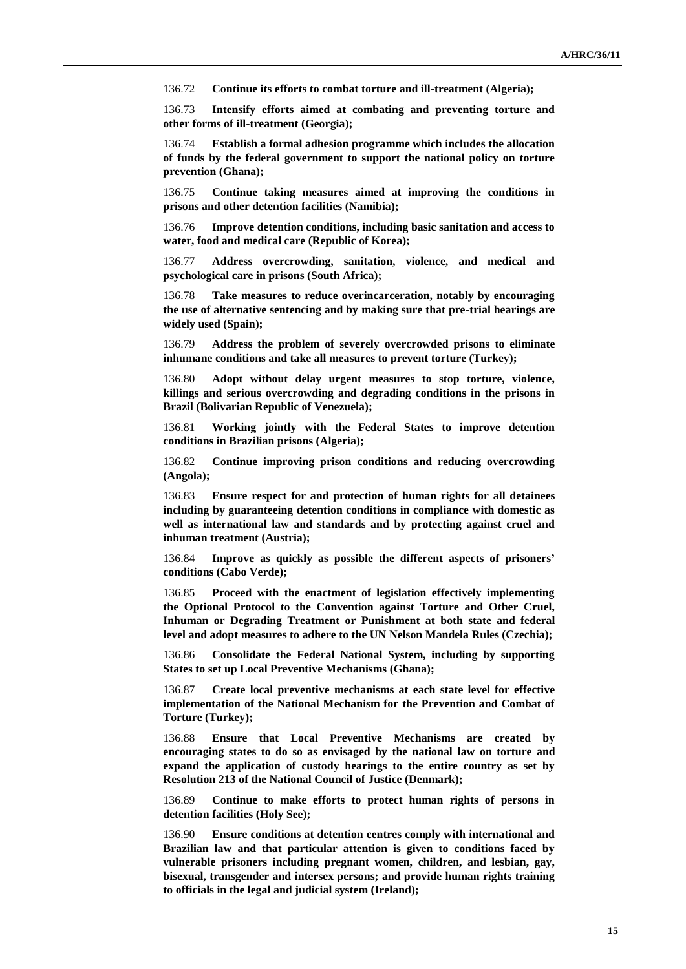136.72 **Continue its efforts to combat torture and ill-treatment (Algeria);**

136.73 **Intensify efforts aimed at combating and preventing torture and other forms of ill-treatment (Georgia);**

136.74 **Establish a formal adhesion programme which includes the allocation of funds by the federal government to support the national policy on torture prevention (Ghana);**

136.75 **Continue taking measures aimed at improving the conditions in prisons and other detention facilities (Namibia);**

136.76 **Improve detention conditions, including basic sanitation and access to water, food and medical care (Republic of Korea);**

136.77 **Address overcrowding, sanitation, violence, and medical and psychological care in prisons (South Africa);**

136.78 **Take measures to reduce overincarceration, notably by encouraging the use of alternative sentencing and by making sure that pre-trial hearings are widely used (Spain);**

136.79 **Address the problem of severely overcrowded prisons to eliminate inhumane conditions and take all measures to prevent torture (Turkey);**

136.80 **Adopt without delay urgent measures to stop torture, violence, killings and serious overcrowding and degrading conditions in the prisons in Brazil (Bolivarian Republic of Venezuela);**

136.81 **Working jointly with the Federal States to improve detention conditions in Brazilian prisons (Algeria);**

136.82 **Continue improving prison conditions and reducing overcrowding (Angola);**

136.83 **Ensure respect for and protection of human rights for all detainees including by guaranteeing detention conditions in compliance with domestic as well as international law and standards and by protecting against cruel and inhuman treatment (Austria);**

136.84 **Improve as quickly as possible the different aspects of prisoners' conditions (Cabo Verde);**

136.85 **Proceed with the enactment of legislation effectively implementing the Optional Protocol to the Convention against Torture and Other Cruel, Inhuman or Degrading Treatment or Punishment at both state and federal level and adopt measures to adhere to the UN Nelson Mandela Rules (Czechia);**

136.86 **Consolidate the Federal National System, including by supporting States to set up Local Preventive Mechanisms (Ghana);**

136.87 **Create local preventive mechanisms at each state level for effective implementation of the National Mechanism for the Prevention and Combat of Torture (Turkey);**

136.88 **Ensure that Local Preventive Mechanisms are created by encouraging states to do so as envisaged by the national law on torture and expand the application of custody hearings to the entire country as set by Resolution 213 of the National Council of Justice (Denmark);**

136.89 **Continue to make efforts to protect human rights of persons in detention facilities (Holy See);**

136.90 **Ensure conditions at detention centres comply with international and Brazilian law and that particular attention is given to conditions faced by vulnerable prisoners including pregnant women, children, and lesbian, gay, bisexual, transgender and intersex persons; and provide human rights training to officials in the legal and judicial system (Ireland);**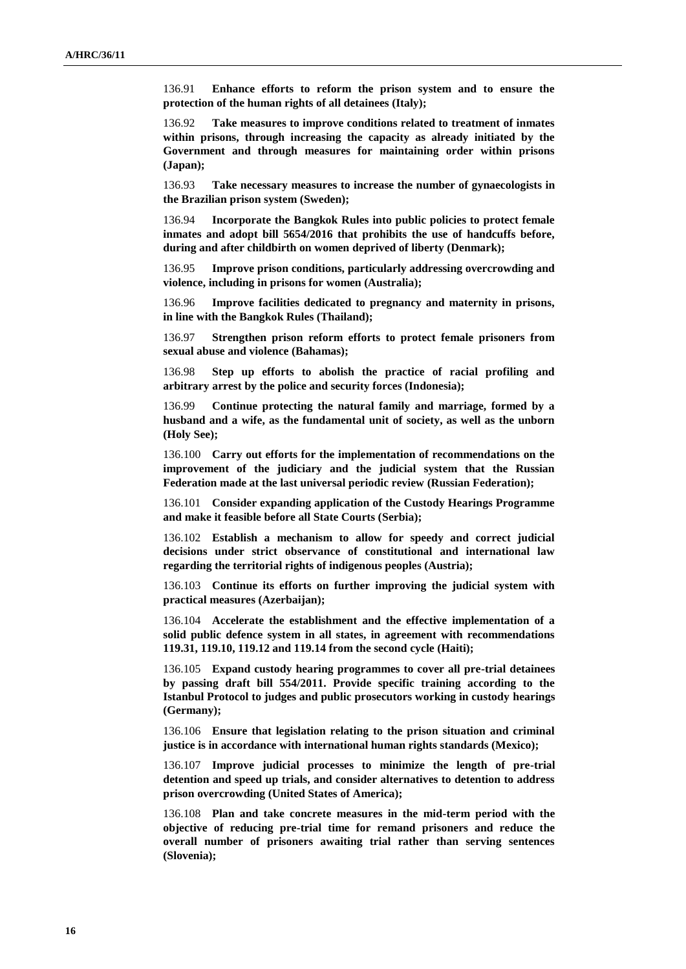136.91 **Enhance efforts to reform the prison system and to ensure the protection of the human rights of all detainees (Italy);**

136.92 **Take measures to improve conditions related to treatment of inmates within prisons, through increasing the capacity as already initiated by the Government and through measures for maintaining order within prisons (Japan);**

136.93 **Take necessary measures to increase the number of gynaecologists in the Brazilian prison system (Sweden);**

136.94 **Incorporate the Bangkok Rules into public policies to protect female inmates and adopt bill 5654/2016 that prohibits the use of handcuffs before, during and after childbirth on women deprived of liberty (Denmark);**

136.95 **Improve prison conditions, particularly addressing overcrowding and violence, including in prisons for women (Australia);**

136.96 **Improve facilities dedicated to pregnancy and maternity in prisons, in line with the Bangkok Rules (Thailand);**

136.97 **Strengthen prison reform efforts to protect female prisoners from sexual abuse and violence (Bahamas);**

136.98 **Step up efforts to abolish the practice of racial profiling and arbitrary arrest by the police and security forces (Indonesia);**

136.99 **Continue protecting the natural family and marriage, formed by a husband and a wife, as the fundamental unit of society, as well as the unborn (Holy See);**

136.100 **Carry out efforts for the implementation of recommendations on the improvement of the judiciary and the judicial system that the Russian Federation made at the last universal periodic review (Russian Federation);**

136.101 **Consider expanding application of the Custody Hearings Programme and make it feasible before all State Courts (Serbia);**

136.102 **Establish a mechanism to allow for speedy and correct judicial decisions under strict observance of constitutional and international law regarding the territorial rights of indigenous peoples (Austria);**

136.103 **Continue its efforts on further improving the judicial system with practical measures (Azerbaijan);**

136.104 **Accelerate the establishment and the effective implementation of a solid public defence system in all states, in agreement with recommendations 119.31, 119.10, 119.12 and 119.14 from the second cycle (Haiti);**

136.105 **Expand custody hearing programmes to cover all pre-trial detainees by passing draft bill 554/2011. Provide specific training according to the Istanbul Protocol to judges and public prosecutors working in custody hearings (Germany);**

136.106 **Ensure that legislation relating to the prison situation and criminal justice is in accordance with international human rights standards (Mexico);**

136.107 **Improve judicial processes to minimize the length of pre-trial detention and speed up trials, and consider alternatives to detention to address prison overcrowding (United States of America);**

136.108 **Plan and take concrete measures in the mid-term period with the objective of reducing pre-trial time for remand prisoners and reduce the overall number of prisoners awaiting trial rather than serving sentences (Slovenia);**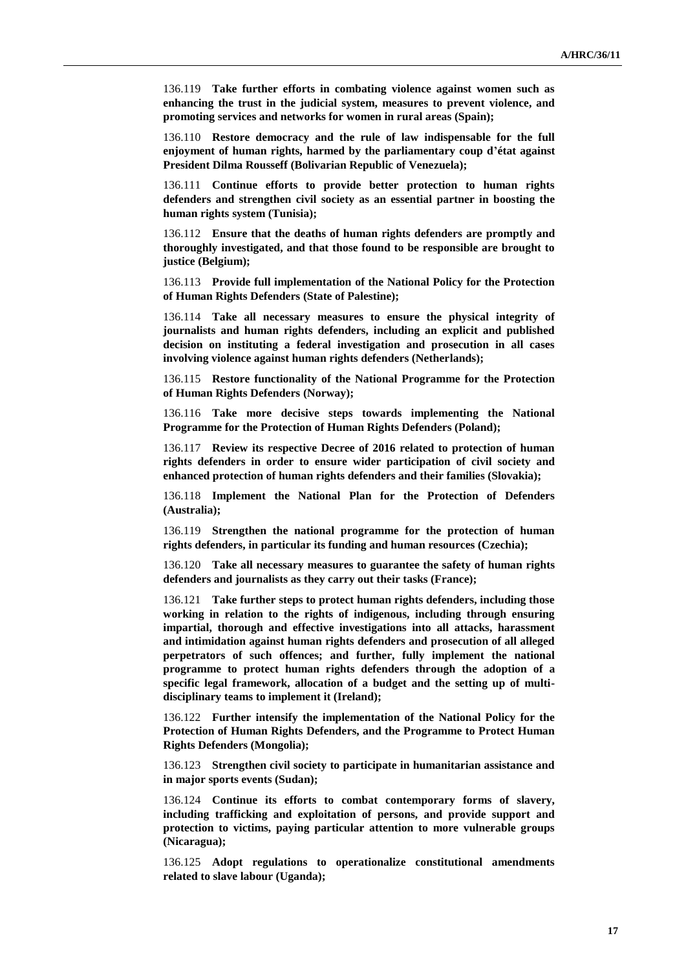136.119 **Take further efforts in combating violence against women such as enhancing the trust in the judicial system, measures to prevent violence, and promoting services and networks for women in rural areas (Spain);**

136.110 **Restore democracy and the rule of law indispensable for the full enjoyment of human rights, harmed by the parliamentary coup d'état against President Dilma Rousseff (Bolivarian Republic of Venezuela);**

136.111 **Continue efforts to provide better protection to human rights defenders and strengthen civil society as an essential partner in boosting the human rights system (Tunisia);**

136.112 **Ensure that the deaths of human rights defenders are promptly and thoroughly investigated, and that those found to be responsible are brought to justice (Belgium);**

136.113 **Provide full implementation of the National Policy for the Protection of Human Rights Defenders (State of Palestine);**

136.114 **Take all necessary measures to ensure the physical integrity of journalists and human rights defenders, including an explicit and published decision on instituting a federal investigation and prosecution in all cases involving violence against human rights defenders (Netherlands);**

136.115 **Restore functionality of the National Programme for the Protection of Human Rights Defenders (Norway);**

136.116 **Take more decisive steps towards implementing the National Programme for the Protection of Human Rights Defenders (Poland);**

136.117 **Review its respective Decree of 2016 related to protection of human rights defenders in order to ensure wider participation of civil society and enhanced protection of human rights defenders and their families (Slovakia);**

136.118 **Implement the National Plan for the Protection of Defenders (Australia);**

136.119 **Strengthen the national programme for the protection of human rights defenders, in particular its funding and human resources (Czechia);**

136.120 **Take all necessary measures to guarantee the safety of human rights defenders and journalists as they carry out their tasks (France);**

136.121 **Take further steps to protect human rights defenders, including those working in relation to the rights of indigenous, including through ensuring impartial, thorough and effective investigations into all attacks, harassment and intimidation against human rights defenders and prosecution of all alleged perpetrators of such offences; and further, fully implement the national programme to protect human rights defenders through the adoption of a specific legal framework, allocation of a budget and the setting up of multidisciplinary teams to implement it (Ireland);**

136.122 **Further intensify the implementation of the National Policy for the Protection of Human Rights Defenders, and the Programme to Protect Human Rights Defenders (Mongolia);**

136.123 **Strengthen civil society to participate in humanitarian assistance and in major sports events (Sudan);**

136.124 **Continue its efforts to combat contemporary forms of slavery, including trafficking and exploitation of persons, and provide support and protection to victims, paying particular attention to more vulnerable groups (Nicaragua);**

136.125 **Adopt regulations to operationalize constitutional amendments related to slave labour (Uganda);**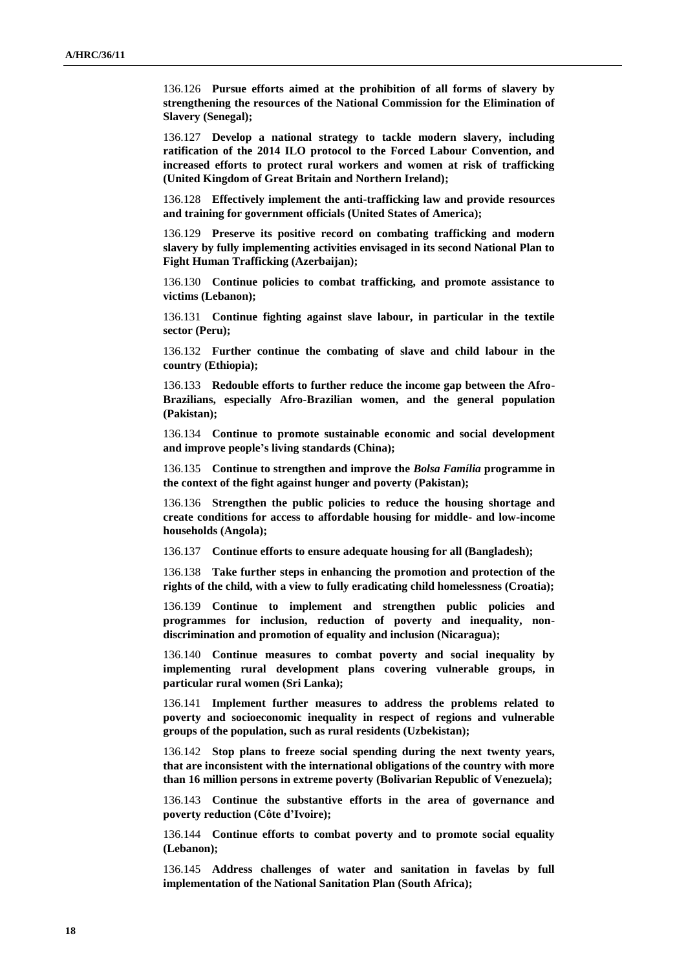136.126 **Pursue efforts aimed at the prohibition of all forms of slavery by strengthening the resources of the National Commission for the Elimination of Slavery (Senegal);**

136.127 **Develop a national strategy to tackle modern slavery, including ratification of the 2014 ILO protocol to the Forced Labour Convention, and increased efforts to protect rural workers and women at risk of trafficking (United Kingdom of Great Britain and Northern Ireland);**

136.128 **Effectively implement the anti-trafficking law and provide resources and training for government officials (United States of America);**

136.129 **Preserve its positive record on combating trafficking and modern slavery by fully implementing activities envisaged in its second National Plan to Fight Human Trafficking (Azerbaijan);**

136.130 **Continue policies to combat trafficking, and promote assistance to victims (Lebanon);**

136.131 **Continue fighting against slave labour, in particular in the textile sector (Peru);**

136.132 **Further continue the combating of slave and child labour in the country (Ethiopia);**

136.133 **Redouble efforts to further reduce the income gap between the Afro-Brazilians, especially Afro-Brazilian women, and the general population (Pakistan);**

136.134 **Continue to promote sustainable economic and social development and improve people's living standards (China);**

136.135 **Continue to strengthen and improve the** *Bolsa Família* **programme in the context of the fight against hunger and poverty (Pakistan);** 

136.136 **Strengthen the public policies to reduce the housing shortage and create conditions for access to affordable housing for middle- and low-income households (Angola);**

136.137 **Continue efforts to ensure adequate housing for all (Bangladesh);**

136.138 **Take further steps in enhancing the promotion and protection of the rights of the child, with a view to fully eradicating child homelessness (Croatia);**

136.139 **Continue to implement and strengthen public policies and programmes for inclusion, reduction of poverty and inequality, nondiscrimination and promotion of equality and inclusion (Nicaragua);**

136.140 **Continue measures to combat poverty and social inequality by implementing rural development plans covering vulnerable groups, in particular rural women (Sri Lanka);**

136.141 **Implement further measures to address the problems related to poverty and socioeconomic inequality in respect of regions and vulnerable groups of the population, such as rural residents (Uzbekistan);**

136.142 **Stop plans to freeze social spending during the next twenty years, that are inconsistent with the international obligations of the country with more than 16 million persons in extreme poverty (Bolivarian Republic of Venezuela);**

136.143 **Continue the substantive efforts in the area of governance and poverty reduction (Côte d'Ivoire);**

136.144 **Continue efforts to combat poverty and to promote social equality (Lebanon);**

136.145 **Address challenges of water and sanitation in favelas by full implementation of the National Sanitation Plan (South Africa);**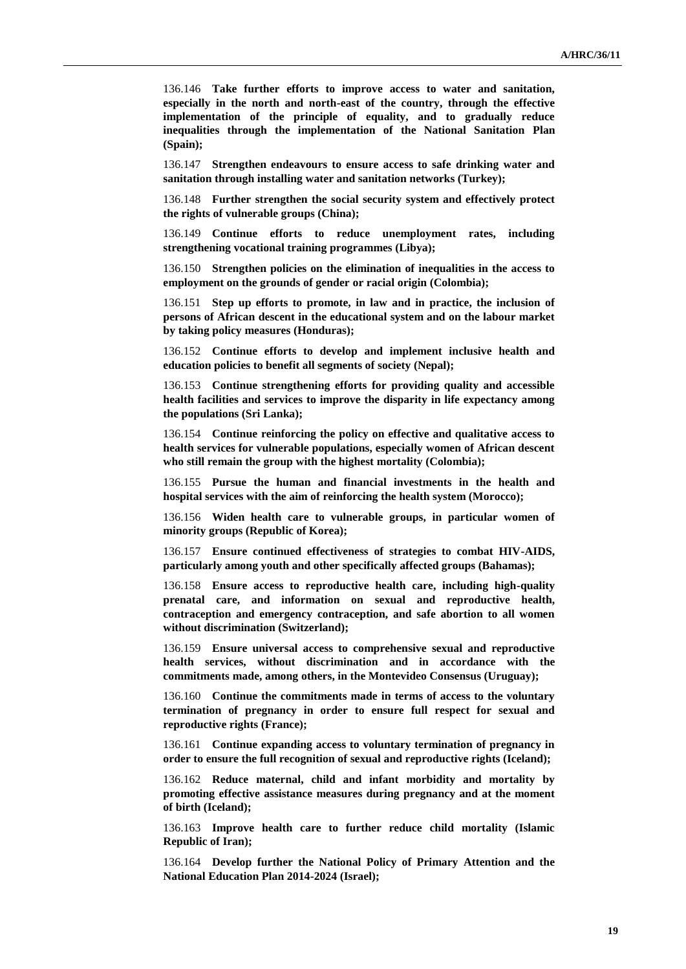136.146 **Take further efforts to improve access to water and sanitation, especially in the north and north-east of the country, through the effective implementation of the principle of equality, and to gradually reduce inequalities through the implementation of the National Sanitation Plan (Spain);**

136.147 **Strengthen endeavours to ensure access to safe drinking water and sanitation through installing water and sanitation networks (Turkey);**

136.148 **Further strengthen the social security system and effectively protect the rights of vulnerable groups (China);**

136.149 **Continue efforts to reduce unemployment rates, including strengthening vocational training programmes (Libya);**

136.150 **Strengthen policies on the elimination of inequalities in the access to employment on the grounds of gender or racial origin (Colombia);**

136.151 **Step up efforts to promote, in law and in practice, the inclusion of persons of African descent in the educational system and on the labour market by taking policy measures (Honduras);**

136.152 **Continue efforts to develop and implement inclusive health and education policies to benefit all segments of society (Nepal);**

136.153 **Continue strengthening efforts for providing quality and accessible health facilities and services to improve the disparity in life expectancy among the populations (Sri Lanka);**

136.154 **Continue reinforcing the policy on effective and qualitative access to health services for vulnerable populations, especially women of African descent who still remain the group with the highest mortality (Colombia);**

136.155 **Pursue the human and financial investments in the health and hospital services with the aim of reinforcing the health system (Morocco);**

136.156 **Widen health care to vulnerable groups, in particular women of minority groups (Republic of Korea);**

136.157 **Ensure continued effectiveness of strategies to combat HIV-AIDS, particularly among youth and other specifically affected groups (Bahamas);**

136.158 **Ensure access to reproductive health care, including high-quality prenatal care, and information on sexual and reproductive health, contraception and emergency contraception, and safe abortion to all women without discrimination (Switzerland);**

136.159 **Ensure universal access to comprehensive sexual and reproductive health services, without discrimination and in accordance with the commitments made, among others, in the Montevideo Consensus (Uruguay);**

136.160 **Continue the commitments made in terms of access to the voluntary termination of pregnancy in order to ensure full respect for sexual and reproductive rights (France);**

136.161 **Continue expanding access to voluntary termination of pregnancy in order to ensure the full recognition of sexual and reproductive rights (Iceland);**

136.162 **Reduce maternal, child and infant morbidity and mortality by promoting effective assistance measures during pregnancy and at the moment of birth (Iceland);**

136.163 **Improve health care to further reduce child mortality (Islamic Republic of Iran);**

136.164 **Develop further the National Policy of Primary Attention and the National Education Plan 2014-2024 (Israel);**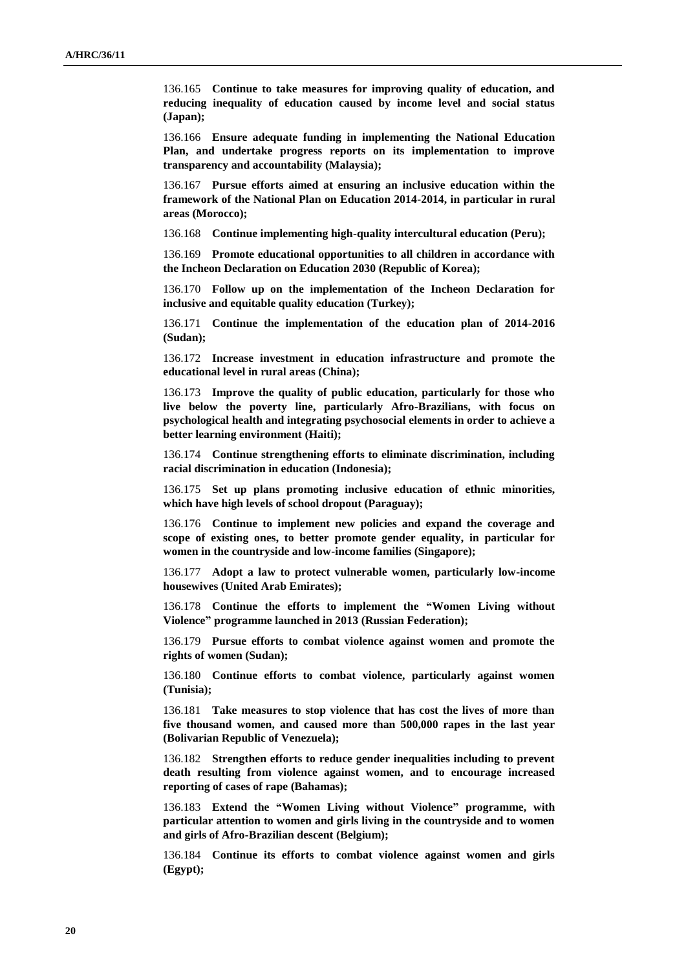136.165 **Continue to take measures for improving quality of education, and reducing inequality of education caused by income level and social status (Japan);**

136.166 **Ensure adequate funding in implementing the National Education Plan, and undertake progress reports on its implementation to improve transparency and accountability (Malaysia);**

136.167 **Pursue efforts aimed at ensuring an inclusive education within the framework of the National Plan on Education 2014-2014, in particular in rural areas (Morocco);**

136.168 **Continue implementing high-quality intercultural education (Peru);**

136.169 **Promote educational opportunities to all children in accordance with the Incheon Declaration on Education 2030 (Republic of Korea);**

136.170 **Follow up on the implementation of the Incheon Declaration for inclusive and equitable quality education (Turkey);**

136.171 **Continue the implementation of the education plan of 2014-2016 (Sudan);**

136.172 **Increase investment in education infrastructure and promote the educational level in rural areas (China);**

136.173 **Improve the quality of public education, particularly for those who live below the poverty line, particularly Afro-Brazilians, with focus on psychological health and integrating psychosocial elements in order to achieve a better learning environment (Haiti);**

136.174 **Continue strengthening efforts to eliminate discrimination, including racial discrimination in education (Indonesia);**

136.175 **Set up plans promoting inclusive education of ethnic minorities, which have high levels of school dropout (Paraguay);**

136.176 **Continue to implement new policies and expand the coverage and scope of existing ones, to better promote gender equality, in particular for women in the countryside and low-income families (Singapore);**

136.177 **Adopt a law to protect vulnerable women, particularly low-income housewives (United Arab Emirates);**

136.178 **Continue the efforts to implement the "Women Living without Violence" programme launched in 2013 (Russian Federation);**

136.179 **Pursue efforts to combat violence against women and promote the rights of women (Sudan);**

136.180 **Continue efforts to combat violence, particularly against women (Tunisia);**

136.181 **Take measures to stop violence that has cost the lives of more than five thousand women, and caused more than 500,000 rapes in the last year (Bolivarian Republic of Venezuela);** 

136.182 **Strengthen efforts to reduce gender inequalities including to prevent death resulting from violence against women, and to encourage increased reporting of cases of rape (Bahamas);**

136.183 **Extend the "Women Living without Violence" programme, with particular attention to women and girls living in the countryside and to women and girls of Afro-Brazilian descent (Belgium);**

136.184 **Continue its efforts to combat violence against women and girls (Egypt);**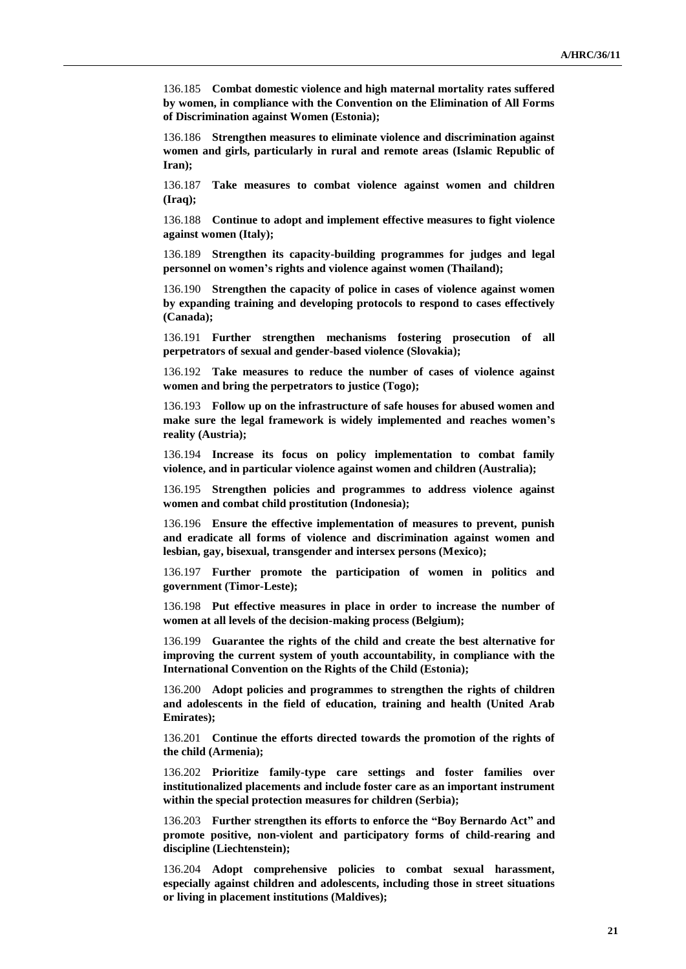136.185 **Combat domestic violence and high maternal mortality rates suffered by women, in compliance with the Convention on the Elimination of All Forms of Discrimination against Women (Estonia);**

136.186 **Strengthen measures to eliminate violence and discrimination against women and girls, particularly in rural and remote areas (Islamic Republic of Iran);**

136.187 **Take measures to combat violence against women and children (Iraq);**

136.188 **Continue to adopt and implement effective measures to fight violence against women (Italy);**

136.189 **Strengthen its capacity-building programmes for judges and legal personnel on women's rights and violence against women (Thailand);**

136.190 **Strengthen the capacity of police in cases of violence against women by expanding training and developing protocols to respond to cases effectively (Canada);**

136.191 **Further strengthen mechanisms fostering prosecution of all perpetrators of sexual and gender-based violence (Slovakia);**

136.192 **Take measures to reduce the number of cases of violence against women and bring the perpetrators to justice (Togo);** 

136.193 **Follow up on the infrastructure of safe houses for abused women and make sure the legal framework is widely implemented and reaches women's reality (Austria);**

136.194 **Increase its focus on policy implementation to combat family violence, and in particular violence against women and children (Australia);**

136.195 **Strengthen policies and programmes to address violence against women and combat child prostitution (Indonesia);**

136.196 **Ensure the effective implementation of measures to prevent, punish and eradicate all forms of violence and discrimination against women and lesbian, gay, bisexual, transgender and intersex persons (Mexico);**

136.197 **Further promote the participation of women in politics and government (Timor-Leste);**

136.198 **Put effective measures in place in order to increase the number of women at all levels of the decision-making process (Belgium);**

136.199 **Guarantee the rights of the child and create the best alternative for improving the current system of youth accountability, in compliance with the International Convention on the Rights of the Child (Estonia);**

136.200 **Adopt policies and programmes to strengthen the rights of children and adolescents in the field of education, training and health (United Arab Emirates);**

136.201 **Continue the efforts directed towards the promotion of the rights of the child (Armenia);**

136.202 **Prioritize family-type care settings and foster families over institutionalized placements and include foster care as an important instrument within the special protection measures for children (Serbia);**

136.203 **Further strengthen its efforts to enforce the "Boy Bernardo Act" and promote positive, non-violent and participatory forms of child-rearing and discipline (Liechtenstein);**

136.204 **Adopt comprehensive policies to combat sexual harassment, especially against children and adolescents, including those in street situations or living in placement institutions (Maldives);**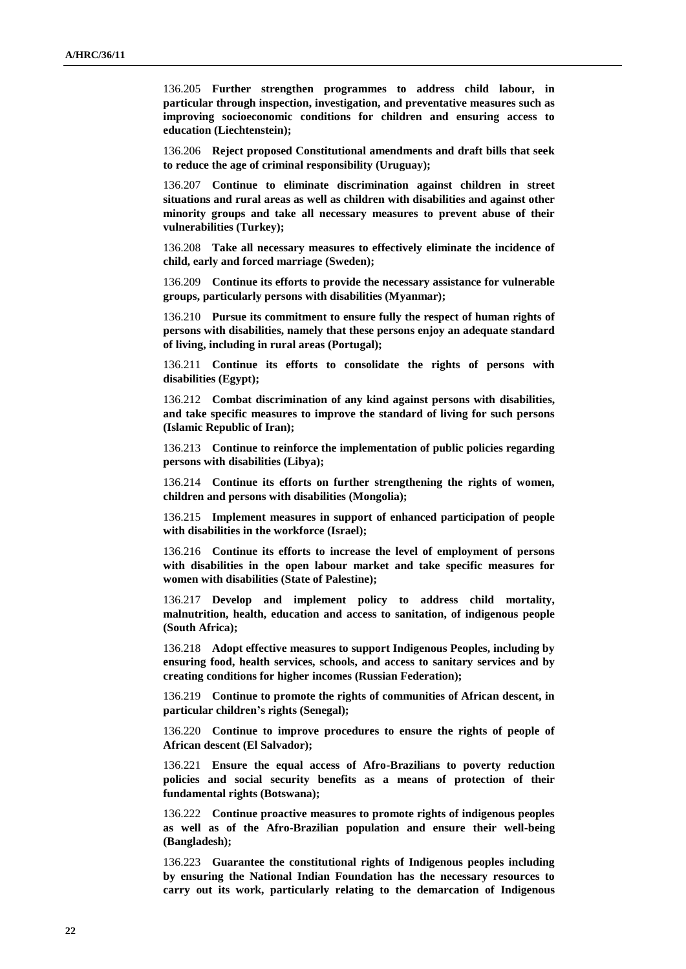136.205 **Further strengthen programmes to address child labour, in particular through inspection, investigation, and preventative measures such as improving socioeconomic conditions for children and ensuring access to education (Liechtenstein);**

136.206 **Reject proposed Constitutional amendments and draft bills that seek to reduce the age of criminal responsibility (Uruguay);**

136.207 **Continue to eliminate discrimination against children in street situations and rural areas as well as children with disabilities and against other minority groups and take all necessary measures to prevent abuse of their vulnerabilities (Turkey);**

136.208 **Take all necessary measures to effectively eliminate the incidence of child, early and forced marriage (Sweden);**

136.209 **Continue its efforts to provide the necessary assistance for vulnerable groups, particularly persons with disabilities (Myanmar);**

136.210 **Pursue its commitment to ensure fully the respect of human rights of persons with disabilities, namely that these persons enjoy an adequate standard of living, including in rural areas (Portugal);**

136.211 **Continue its efforts to consolidate the rights of persons with disabilities (Egypt);**

136.212 **Combat discrimination of any kind against persons with disabilities, and take specific measures to improve the standard of living for such persons (Islamic Republic of Iran);**

136.213 **Continue to reinforce the implementation of public policies regarding persons with disabilities (Libya);**

136.214 **Continue its efforts on further strengthening the rights of women, children and persons with disabilities (Mongolia);**

136.215 **Implement measures in support of enhanced participation of people with disabilities in the workforce (Israel);**

136.216 **Continue its efforts to increase the level of employment of persons with disabilities in the open labour market and take specific measures for women with disabilities (State of Palestine);**

136.217 **Develop and implement policy to address child mortality, malnutrition, health, education and access to sanitation, of indigenous people (South Africa);**

136.218 **Adopt effective measures to support Indigenous Peoples, including by ensuring food, health services, schools, and access to sanitary services and by creating conditions for higher incomes (Russian Federation);**

136.219 **Continue to promote the rights of communities of African descent, in particular children's rights (Senegal);**

136.220 **Continue to improve procedures to ensure the rights of people of African descent (El Salvador);**

136.221 **Ensure the equal access of Afro-Brazilians to poverty reduction policies and social security benefits as a means of protection of their fundamental rights (Botswana);**

136.222 **Continue proactive measures to promote rights of indigenous peoples as well as of the Afro-Brazilian population and ensure their well-being (Bangladesh);**

136.223 **Guarantee the constitutional rights of Indigenous peoples including by ensuring the National Indian Foundation has the necessary resources to carry out its work, particularly relating to the demarcation of Indigenous**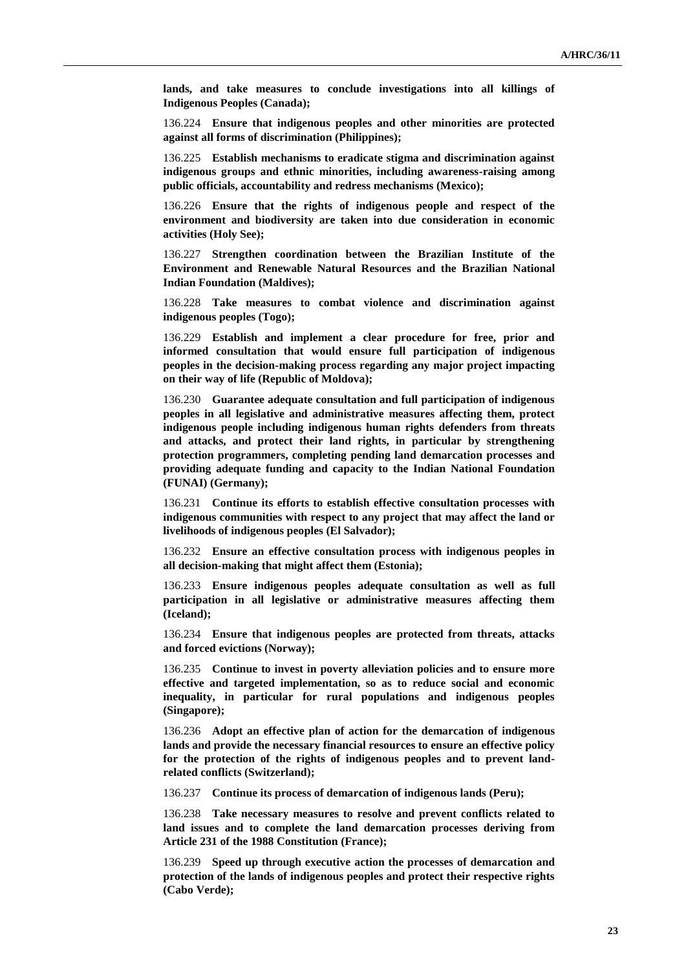**lands, and take measures to conclude investigations into all killings of Indigenous Peoples (Canada);**

136.224 **Ensure that indigenous peoples and other minorities are protected against all forms of discrimination (Philippines);**

136.225 **Establish mechanisms to eradicate stigma and discrimination against indigenous groups and ethnic minorities, including awareness-raising among public officials, accountability and redress mechanisms (Mexico);**

136.226 **Ensure that the rights of indigenous people and respect of the environment and biodiversity are taken into due consideration in economic activities (Holy See);**

136.227 **Strengthen coordination between the Brazilian Institute of the Environment and Renewable Natural Resources and the Brazilian National Indian Foundation (Maldives);**

136.228 **Take measures to combat violence and discrimination against indigenous peoples (Togo);**

136.229 **Establish and implement a clear procedure for free, prior and informed consultation that would ensure full participation of indigenous peoples in the decision-making process regarding any major project impacting on their way of life (Republic of Moldova);**

136.230 **Guarantee adequate consultation and full participation of indigenous peoples in all legislative and administrative measures affecting them, protect indigenous people including indigenous human rights defenders from threats and attacks, and protect their land rights, in particular by strengthening protection programmers, completing pending land demarcation processes and providing adequate funding and capacity to the Indian National Foundation (FUNAI) (Germany);**

136.231 **Continue its efforts to establish effective consultation processes with indigenous communities with respect to any project that may affect the land or livelihoods of indigenous peoples (El Salvador);**

136.232 **Ensure an effective consultation process with indigenous peoples in all decision-making that might affect them (Estonia);**

136.233 **Ensure indigenous peoples adequate consultation as well as full participation in all legislative or administrative measures affecting them (Iceland);**

136.234 **Ensure that indigenous peoples are protected from threats, attacks and forced evictions (Norway);**

136.235 **Continue to invest in poverty alleviation policies and to ensure more effective and targeted implementation, so as to reduce social and economic inequality, in particular for rural populations and indigenous peoples (Singapore);**

136.236 **Adopt an effective plan of action for the demarcation of indigenous lands and provide the necessary financial resources to ensure an effective policy for the protection of the rights of indigenous peoples and to prevent landrelated conflicts (Switzerland);**

136.237 **Continue its process of demarcation of indigenous lands (Peru);**

136.238 **Take necessary measures to resolve and prevent conflicts related to land issues and to complete the land demarcation processes deriving from Article 231 of the 1988 Constitution (France);**

136.239 **Speed up through executive action the processes of demarcation and protection of the lands of indigenous peoples and protect their respective rights (Cabo Verde);**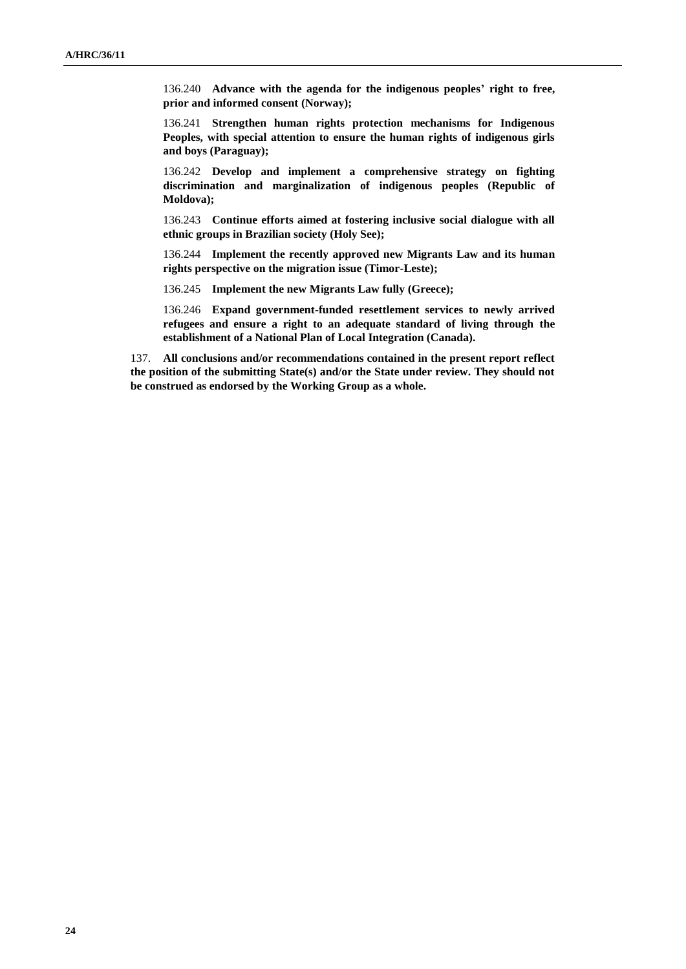136.240 **Advance with the agenda for the indigenous peoples' right to free, prior and informed consent (Norway);**

136.241 **Strengthen human rights protection mechanisms for Indigenous Peoples, with special attention to ensure the human rights of indigenous girls and boys (Paraguay);**

136.242 **Develop and implement a comprehensive strategy on fighting discrimination and marginalization of indigenous peoples (Republic of Moldova);**

136.243 **Continue efforts aimed at fostering inclusive social dialogue with all ethnic groups in Brazilian society (Holy See);**

136.244 **Implement the recently approved new Migrants Law and its human rights perspective on the migration issue (Timor-Leste);**

136.245 **Implement the new Migrants Law fully (Greece);**

136.246 **Expand government-funded resettlement services to newly arrived refugees and ensure a right to an adequate standard of living through the establishment of a National Plan of Local Integration (Canada).**

137. **All conclusions and/or recommendations contained in the present report reflect the position of the submitting State(s) and/or the State under review. They should not be construed as endorsed by the Working Group as a whole.**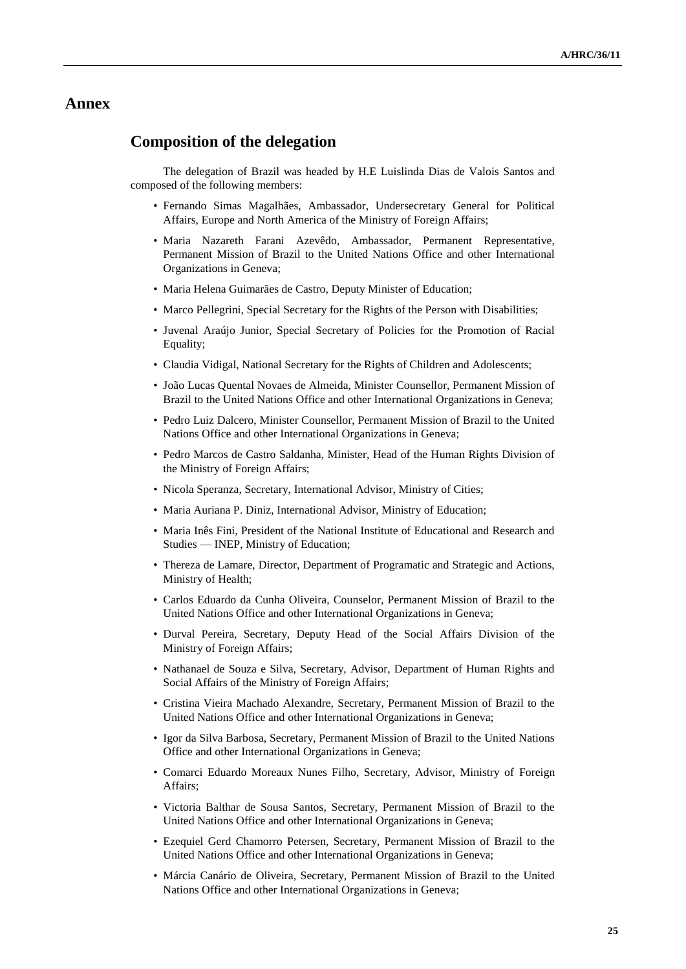## **Annex**

### **Composition of the delegation**

The delegation of Brazil was headed by H.E Luislinda Dias de Valois Santos and composed of the following members:

- Fernando Simas Magalhães, Ambassador, Undersecretary General for Political Affairs, Europe and North America of the Ministry of Foreign Affairs;
- Maria Nazareth Farani Azevêdo, Ambassador, Permanent Representative, Permanent Mission of Brazil to the United Nations Office and other International Organizations in Geneva;
- Maria Helena Guimarães de Castro, Deputy Minister of Education;
- Marco Pellegrini, Special Secretary for the Rights of the Person with Disabilities;
- Juvenal Araújo Junior, Special Secretary of Policies for the Promotion of Racial Equality;
- Claudia Vidigal, National Secretary for the Rights of Children and Adolescents;
- João Lucas Quental Novaes de Almeida, Minister Counsellor, Permanent Mission of Brazil to the United Nations Office and other International Organizations in Geneva;
- Pedro Luiz Dalcero, Minister Counsellor, Permanent Mission of Brazil to the United Nations Office and other International Organizations in Geneva;
- Pedro Marcos de Castro Saldanha, Minister, Head of the Human Rights Division of the Ministry of Foreign Affairs;
- Nicola Speranza, Secretary, International Advisor, Ministry of Cities;
- Maria Auriana P. Diniz, International Advisor, Ministry of Education;
- Maria Inês Fini, President of the National Institute of Educational and Research and Studies — INEP, Ministry of Education;
- Thereza de Lamare, Director, Department of Programatic and Strategic and Actions, Ministry of Health;
- Carlos Eduardo da Cunha Oliveira, Counselor, Permanent Mission of Brazil to the United Nations Office and other International Organizations in Geneva;
- Durval Pereira, Secretary, Deputy Head of the Social Affairs Division of the Ministry of Foreign Affairs;
- Nathanael de Souza e Silva, Secretary, Advisor, Department of Human Rights and Social Affairs of the Ministry of Foreign Affairs;
- Cristina Vieira Machado Alexandre, Secretary, Permanent Mission of Brazil to the United Nations Office and other International Organizations in Geneva;
- Igor da Silva Barbosa, Secretary, Permanent Mission of Brazil to the United Nations Office and other International Organizations in Geneva;
- Comarci Eduardo Moreaux Nunes Filho, Secretary, Advisor, Ministry of Foreign Affairs;
- Victoria Balthar de Sousa Santos, Secretary, Permanent Mission of Brazil to the United Nations Office and other International Organizations in Geneva;
- Ezequiel Gerd Chamorro Petersen, Secretary, Permanent Mission of Brazil to the United Nations Office and other International Organizations in Geneva;
- Márcia Canário de Oliveira, Secretary, Permanent Mission of Brazil to the United Nations Office and other International Organizations in Geneva;